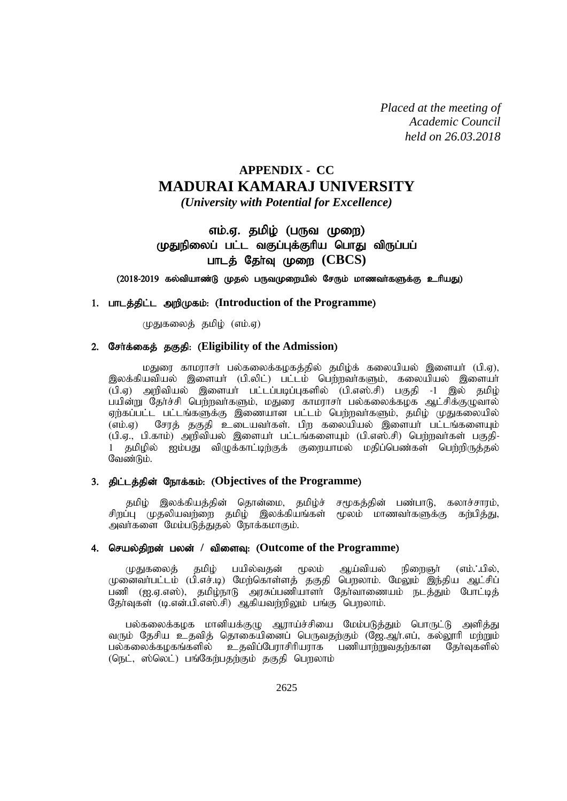*Placed at the meeting of Academic Council held on 26.03.2018*

# **APPENDIX - CC MADURAI KAMARAJ UNIVERSITY**

*(University with Potential for Excellence)*

# எம்.ஏ. தமிழ் (பருவ முறை) முதுநிலைப் பட்ட வகுப்புக்குரிய பொது விருப்பப் பாடத் தேர்வு முறை (CBCS)

 $(2018-2019$  கல்வியாண்டு முதல் பருவமுறையில் சேரும் மாணவா்களுக்கு உரியது)

# 1. பாடத்திட்ட அறிமுகம்: (Introduction of the Programme)

(மதுகலைத் தமிழ் (எம்.ஏ)

# 2. சேர்க்கைத் தகுதி: (Eligibility of the Admission)

மதுரை காமராசர் பல்கலைக்கழகத்தில் தமிழ்க் கலையியல் இளையர் (பி.ஏ), இலக்கியவியல் இளையா் (பி.லிட்) பட்டம் பெற்றவா்களும், கலையியல் இளையா்  $\widetilde{L}(u)$ .ஏ) அறிவியல் இளையா் பட்டப்படிப்புகளில்  $\widetilde{L}(u)$ .எஸ்.சி) பகுதி -1 இல் தமிழ் பயின்று தேர்ச்சி பெற்றவர்களும், மதுரை காமராசர் பல்கலைக்கழக ஆட்சிக்குழுவால் ஏற்கப்பட்ட பட்டங்களுக்கு இணையான பட்டம் பெற்றவர்களும், தமிழ் முதுகலையில் (எம்.ஏ) சேரத் தகுதி உடையவர்கள். பிற கலையியல் இளையர் பட்டங்களையும் (பி.ஏ., பி.காம்) அறிவியல் இளையா் பட்டங்களையும் (பி.எஸ்.சி) பெற்றவா்கள் பகுதி-1 தமிழில் ஐம்பது விழுக்காட்டிற்குக் குறையாமல் மதிப்பெண்கள் பெற்றிருத்தல் வேண்டும்.

# 3. திட்டத்தின் நோக்கம்: (Objectives of the Programme)

தமிழ் இலக்கியத்தின் தொன்மை, தமிழ்ச் சமூகத்தின் பண்பாடு, கலாச்சாரம், சிறப்பு முதலியவற்றை தமிழ் இலக்கியங்கள் மூலம் மாணவர்களுக்கு கற்பித்து, அவர்களை மேம்படுத்துதல் நோக்கமாகும்.

# 4. செயல்திறன் பலன் / விளைவு: (Outcome of the Programme)

முதுகலைத் தமிழ் பயில்வதன் மூலம் ஆய்வியல் நிறைஞர் (எம். ்பில், முனைவா்பட்டம் (பி.எச்.டி) மேற்கொள்ளத் தகுதி பெறலாம். மேலும் இந்திய ஆட்சிப் .<br>பணி (ஐ.ஏ.எஸ்), தமிழ்நாடு அரசுப்பணியாளர் தேர்வாணையம் நடத்தும் போட்டிக் தேர்வுகள் (டி.என்.பி.எஸ்.சி) ஆகியவற்றிலும் பங்கு பொலாம்.

பல்கலைக்கழக மானியக்குழு ஆராய்ச்சியை மேம்படுத்தும் பொருட்டு அளித்து வரும் தேசிய உதவித் தொகையினைப் பெருவதற்கும் (ஜே.ஆர்.எப், கல்லூரி மற்றும்<br>பல்கலைக்கழகங்களில் உதவிப்பேராசிரியராக பணியாற்றுவதற்கான தேர்வுகளில் உதவிப்பேராசிரியராக பணியாற்றுவதற்கான தேர்வுகளில் (நெட், ஸ்லெட்) பங்கேற்பதற்கும் தகுதி பெறலாம்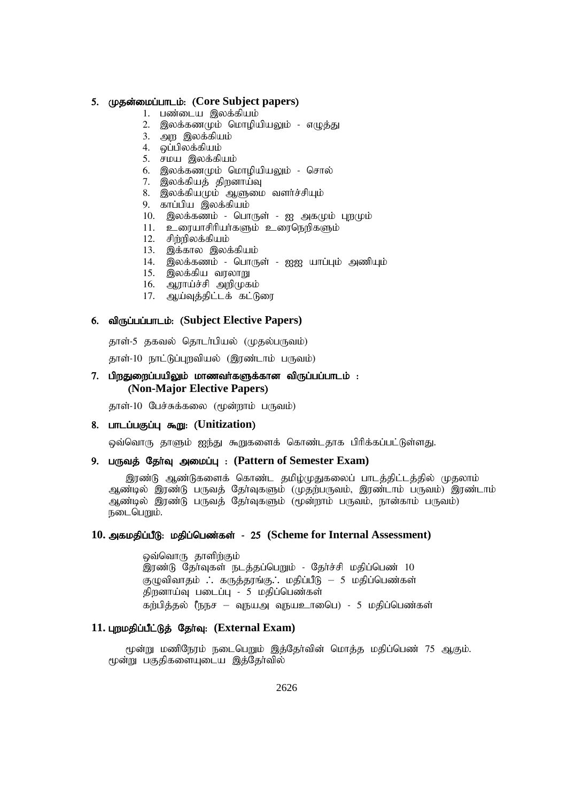#### 5. (**p**தன்மைப்பாடம்: (Core Subject papers)

- 1. பண்டைய இலக்கியம்
- 2. இலக்கணமும் மொமியியலும் எமுக்கு
- 3. அற இலக்கியம்
- 4. வப்பிலக்கியம்
- 5. சமய இலக்கியம்
- $6.$  இலக்கண $p$ மும் மொழியியலும் சொல்
- 7. இலக்கியத் திறனாய்வு
- 8. இலக்கியமும் ஆளுமை வளர்ச்சியும்
- $9.$  காப்பிய இலக்கியம்
- $10.$  இலக்கணம் பொருள் ஐ அகமும் புறமும்
- 11. உரையாசிரியர்களும் உரைநெறிகளும்
- 12. சிற்றிலக்கியம்
- $13.$  இக்கால இலக்கியம்
- 14. இலக்கணம் பொருள் ஐஐ யாப்பும் அணியும்
- 15. இலக்கிய வரலாறு
- 16. ஆராய்ச்சி அறிமுகம்
- 17. ஆய்வுத்திட்டக் கட்டுரை

# 6. of **on**generic subject Elective Papers)

தாள்-5 தகவல் தொடர்பியல் (முதல்பருவம்)

தாள்-10 நாட்டுப்புறவியல் (இரண்டாம் பருவம்)

# $7.$  பிறதுறைப்பயிலும் மாணவர்களுக்கான விருப்பப்பாடம் : (**Non-Major Elective Papers**)

தாள்-10 பேச்சுக்கலை (மூன்றாம் பருவம்)

# 8. பாடப்பகுப்பு கூறு: (Unitization)

ஒவ்வொரு தாளும் ஐந்து கூறுகளைக் கொண்டதாக பிரிக்கப்பட்டுள்ளது.

#### 9. பருவத் தேர்வு அமைப்பு: (Pattern of Semester Exam)

இரண்டு ஆண்டுகளைக் கொண்ட தமிழ்முதுகலைப் பாடத்திட்டத்தில் முதலாம் ஆண்டில் இரண்டு பருவத் தேர்வுகளும் (முதற்பருவம், இரண்டாம் பருவம்) இரண்டாம் ஆண்டில் இரண்டு பருவத் தோ்வுகளும் (மூன்றாம் பருவம், நான்காம் பருவம்) நடைபெறும்.

# 10. அகமதிப்பீடு: மதிப்பெண்கள் - 25 (Scheme for Internal Assessment)

ஒவ்வொரு தாளிற்கும் இரண்டு தேர்வுகள் நடத்தப்பெறும் - தேர்ச்சி மதிப்பெண் 10 குழுவிவாதம்  $\therefore$  கருத்தரங்கு $\therefore$  மதிப்பீடு – 5 மதிப்பெண்கள் திறனாய்வு படைப்பு - 5 மதிப்பெண்கள்  $\delta$ க்குல் ரேந்ச – வுநயஅ வுநயஉாகைப) - 5 மதிப்பெண்கள்

#### 11. புறமதிப்பீட்டுத் தேர்வு: (External Exam)

மூன்று மணிநேரம் நடைபெறும் இத்தேர்வின் மொத்த மதிப்பெண் 75 ஆகும். மூன்று பகுதிகளையுடைய இத்தோவில்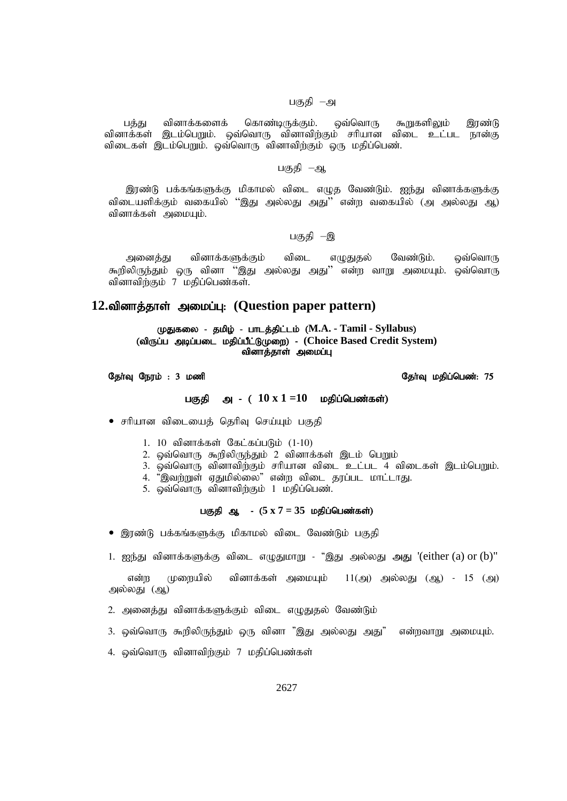# பகுதி –அ

பத்து வினாக்களைக் கொண்டிருக்கும். ஒவ்வொரு கூறுகளிலும் இரண்டு வினாக்கள் இடம்பெறும். ஒவ்வொரு வினாவிற்கும் சரியான விடை உட்பட நான்கு விடைகள் இடம்பெறும். ஒவ்வொரு வினாவிற்கும் ஒரு மதிப்பெண்.

## பகுதி –ஆ

இரண்டு பக்கங்களுக்கு மிகாமல் விடை எழுத வேண்டும். ஐந்து வினாக்களுக்கு விடையளிக்கும் வகையில் ''இது அல்லது அது'' என்ற வகையில் (அ அல்லது ஆ) வினாக்கள் அமையும்.

# பகுதி –இ

அனைத்து வினாக்களுக்கும் விடை எழுதுதல் வேண்டும். ஒவ்வொரு கூறிலிருந்தும் ஒரு வினா ''இது அல்லது அது'' என்ற வாறு அமையும். ஒவ்வொரு வினாவிற்கும் 7 மதிப்பெண்கள்.

# 12.வினாத்தாள் அமைப்பு: (Question paper pattern)

# (மதுகலை - தமிழ் - பாடத்திட்டம் (M.A. - Tamil - Syllabus) (விருப்ப அடிப்படை மதிப்பீட்டுமுறை) - (Choice Based Credit System) வினாத்தாள் அமைப்பு

# தோவு நேரம் : 3 மணி  $\,$  குள்வு மதிப்பெண்: 75  $\,$

#### பகுதி அ - (  $10 \times 1 = 10$  மதிப்பெண்கள்)

- சரியான விடையைத் தெரிவு செய்யும் பகுதி
	- 1. 10 வினாக்கள் கேட்கப்படும்  $(1-10)$
	- 2. ஒவ்வொரு கூறிலிருந்தும் 2 வினாக்கள் இடம் பெறும்
	- 3. ஒவ்வொரு வினாவிந்கும் சரியான விடை உட்பட 4 விடைகள் இடம்பெறும்.
	- 4. "இவற்றுள் ஏதுமில்லை" என்ற விடை தரப்பட மாட்டாது.
	- 5. ஒவ்வொரு வினாவிற்கும் 1 மதிப்பெண்.

# பகுதி ஆ - (5 x 7 = 35 மதிப்பெண்கள்)

- இரண்டு பக்கங்களுக்கு மிகாமல் விடை வேண்டும் பகுதி
- 1. ஐந்து வினாக்களுக்கு விடை எழுதுமாறு "இது அல்லது அது '(either (a) or (b)"

என்ற முறையில் வினாக்கள் அமையும்  $11(\text{a})$  அல்லது (ஆ) - 15 (அ) அல்லது (ஆ)

- 2. அனைத்து வினாக்களுக்கும் விடை எழுதுதல் வேண்டும்
- 3. ஒவ்வொரு கூறிலிருந்தும் ஒரு வினா "இது அல்லது அது" என்றவாறு அமையும்.
- 4. ஒவ்வொரு வினாவிற்கும் 7 மதிப்பெண்கள்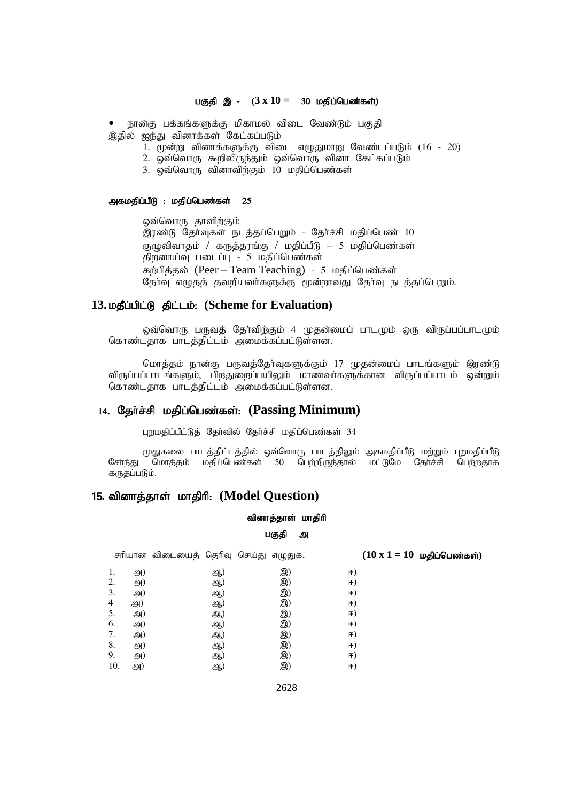#### பகுதி இ - ( $3 \times 10 = 30$  மதிப்பெண்கள்)

நான்கு பக்கங்களுக்கு மிகாமல் விடை வேண்டும் பகுதி இதில் ஐந்து வினாக்கள் கேட்கப்படும்

- 1. மூன்று வினாக்களுக்கு விடை எழுதுமாறு வேண்டப்படும் (16 20)
- 2. ஒவ்வொரு கூறிலிருந்தும் ஒவ்வொரு வினா கேட்கப்படும்
- 3. ஒவ்வொரு வினாவிற்கும் 10 மதிப்பெண்கள்

#### அகமதிப்பீடு : மதிப்பெண்கள்  $25$

லவ்வொரு தாளிற்கும் இரண்டு தேர்வுகள் நடத்தப்பெறும் - தேர்ச்சி மதிப்பெண் 10 குழுவிவாதம் / கருத்தரங்கு / மதிப்பீடு – 5 மதிப்பெண்கள் திறனாய்வு படைப்பு - 5 மதிப்பெண்கள் கர்பித்தல் (Peer – Team Teaching) - 5 மதிப்பெண்கள் தேர்வு எழுதத் தவறியவர்களுக்கு மூன்றாவது தேர்வு நடத்தப்பெறும்.

# 13. *ugudig* gillion: (Scheme for Evaluation)

ஒவ்வொரு பருவத் தேர்விற்கும் 4 முதன்மைப் பாடமும் ஒரு விருப்பப்பாடமும் கொண்டதாக பாடத்திட்டம் அமைக்கப்பட்டுள்ளன.

மொத்தம் நான்கு பருவத்தோவுகளுக்கும் 17 முதன்மைப் பாடங்களும் இரண்டு விருப்பப்பாடங்களும், பிறதுறைப்பயிலும் மாணவா்களுக்கான விருப்பப்பாடம் ஒன்றும் கொண்டதாக பாடத்திட்டம் அமைக்கப்பட்டுள்ளன.

# 14. தேர்ச்சி மதிப்பெண்கள்: (Passing Minimum)

புறமதிப்பீட்டுத் தேர்வில் தேர்ச்சி மதிப்பெண்கள் 34

முதுகலை பாடத்திட்டத்தில் ஒவ்வொரு பாடத்திலும் அகமதிப்பீடு மற்றும் புறமதிப்பீடு<br>சேர்ந்து மொத்தம் மதிப்பெண்கள் 50 பெற்றிருந்தால் மட்டுமே தேர்ச்சி பெற்றதாக மொத்தம் மதிப்பெண்கள் 50 பெற்றிருந்தால் மட்டுமே தோச்சி பெற்றதாக கருதப்படும்.

# 15. வினாத்தாள் மாதிரி: (Model Question)

# வினாத்தாள் மாதிரி பகுதி அ

சரியான விடையைத் தெரிவு செய்து எழுதுக.  $(10 \times 1 = 10 \text{ m}^2)$ மதி**ப்பெண்கள்**) 1. 91) 93.) 93.) F) 2. அ) ஆ) இ) ஈ) 3. <u>ey)</u> (20) (20) (5) F) 4 M) (91) (91) (93) F) 5. <u>g</u>y) (20) (20) (5) 6. அ) ஆ) இ) ஈ) 7. அ) ஆ) இ) ஈ) 8. அ) ஆ) இ) ஈ) 9. அ) ஆ) இ) ஈ)  $10.$   $91)$   $93)$  F)

2628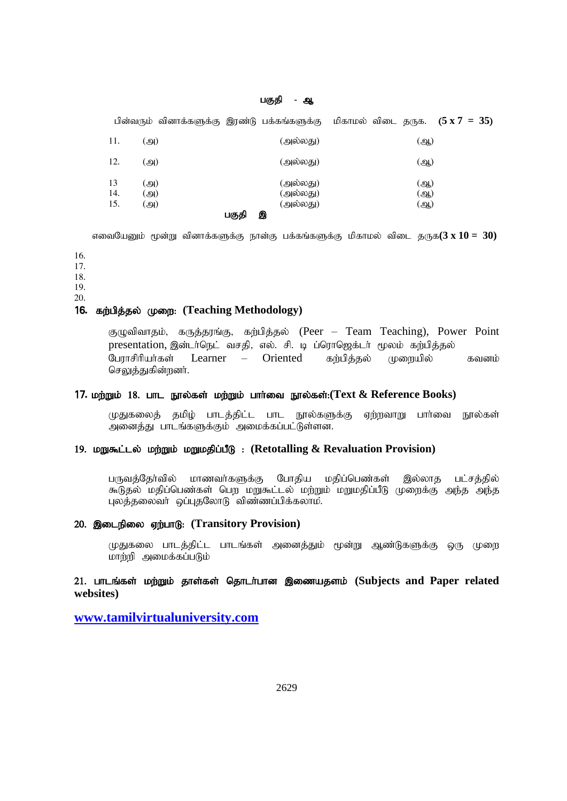# பகுதி - ஆ

|                  | பின்வரும் வினாக்களுக்கு இரண்டு பக்கங்களுக்கு மிகாமல் விடை தருக. $(5 \times 7 = 35)$ |       |                                       |  |                   |  |
|------------------|-------------------------------------------------------------------------------------|-------|---------------------------------------|--|-------------------|--|
| 11.              | (அ)                                                                                 |       | (அல்லது)                              |  | (ஆ)               |  |
| 12.              | (அ)                                                                                 |       | (அல்லது)                              |  | (ஆ)               |  |
| 13<br>14.<br>15. | (அ)<br>(அ)<br>(அ)                                                                   | பகுதி | (அல்லது)<br>(அல்லது)<br>(அல்லது)<br>இ |  | (ஆ)<br>(ஆ)<br>(ஆ) |  |

எவையேனும் மூன்று வினாக்களுக்கு நான்கு பக்கங்களுக்கு மிகாமல் விடை தருக $(3 \times 10 = 30)$ 

16.

17.

18.

19.

20.

# 16. கற்பித்தல் முறை: (Teaching Methodology)

குழுவிவாதம், கருத்தரங்கு, கற்பித்தல் (Peer – Team Teaching), Power Point presentation, இன்டர்நெட் வசதி, எல். சி. டி ப்ரொஜெக்டர் மூலம் கற்பித்தல் பேராசிரியர்கள் Learner – Oriented கற்பித்தல் முறையில் கவனம் செலுத்துகின்றனர்.

# 17. மற்றும் 18. பாட நூல்கள் மற்றும் பார்வை நூல்கள்:(Text & Reference Books)

முதுகலைத் தமிழ் பாடத்திட்ட பாட நூல்களுக்கு ஏற்றவாறு பார்வை நூல்கள் அனைத்து பாடங்களுக்கும் அமைக்கப்பட்டுள்ளன.

# 19. மறுகூட்டல் மற்றும் மறுமதிப்பீடு: (Retotalling & Revaluation Provision)

பருவத்தேர்வில் மாணவர்களுக்கு போதிய மதிப்பெண்கள் இல்லாத பட்சத்தில் கூடுதல் மதிப்பெண்கள் பெற மறுகூட்டல் மற்றும் மறுமதிப்பீடு முறைக்கு அந்த அந்த புலத்தலைவர் ஒப்புதலோடு விண்ணப்பிக்கலாம்.

#### 20. இடைநிலை ஏற்பாடு: (Transitory Provision)

முதுகலை பாடத்திட்ட பாடங்கள் அனைத்தும் மூன்று ஆண்டுகளுக்கு ஒரு முறை மாற்றி அமைக்கப்படும்

# 21. பாடங்கள் மற்றும் தாள்கள் தொடர்பான இணையதளம் (Subjects and Paper related **websites)**

**[www.tamilvirtualuniversity.com](http://www.tamilvirtualuniversity.com/)**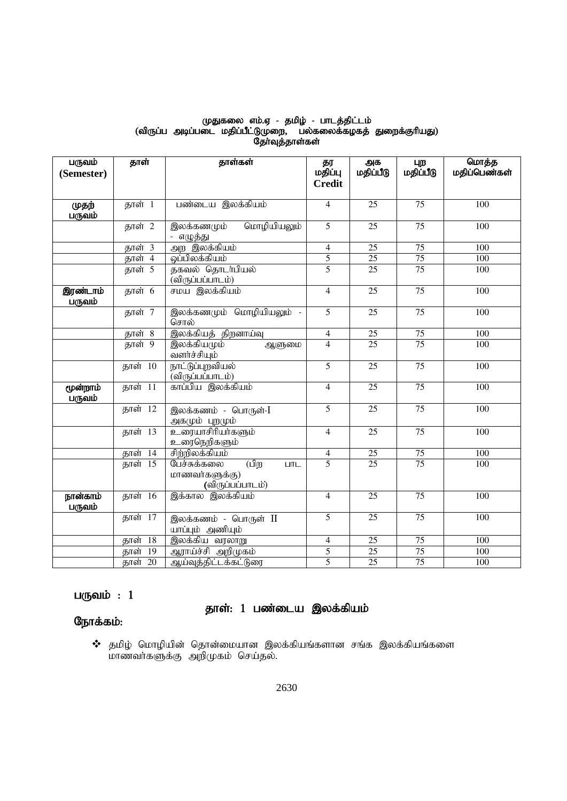# முதுகலை எம்.ஏ - தமிழ் - பாடத்திட்டம் (விருப்ப அடிப்படை மதிப்பீட்டுமுறை, பல்கலைக்கழகத் துறைக்குரியது) தோ்வுத்தாள்கள்

| பருவம்             | தாள்                    | தாள்கள்                                      | தர             | அக              | புற             | மொத்த            |
|--------------------|-------------------------|----------------------------------------------|----------------|-----------------|-----------------|------------------|
| (Semester)         |                         |                                              | மதிப்பு        | மதிப்பீடு       | மதிப்பீடு       | மதிப்பெண்கள்     |
|                    |                         |                                              | <b>Credit</b>  |                 |                 |                  |
| முதற்<br>பருவம்    | தாள் 1                  | பண்டைய இலக்கியம்                             | $\overline{4}$ | $\overline{25}$ | 75              | 100              |
|                    | தாள் 2                  | மொழியியலும்<br>இலக்கணமும்<br>- எழுத்து       | 5              | 25              | 75              | 100              |
|                    | தாள் 3                  | அற இலக்கியம்                                 | $\overline{4}$ | $\overline{25}$ | $\overline{75}$ | 100              |
|                    | தாள் 4                  | ஒப்பிலக்கியம்                                | 5              | $\overline{25}$ | $\overline{75}$ | 100              |
|                    | தாள் $\overline{5}$     | தகவல் தொடர்பியல்<br>(விருப்பப்பாடம்)         | 5              | 25              | $\overline{75}$ | 100              |
| இரண்டாம்<br>பருவம் | தாள் 6                  | சமய இலக்கியம்                                | $\overline{4}$ | 25              | 75              | 100              |
|                    | தாள் 7                  | இலக்கணமும் மொழியியலும் -<br>சொல்             | $\overline{5}$ | $\overline{25}$ | $\overline{75}$ | 100              |
|                    | தாள் 8                  | இலக்கியத் திறனாய்வு                          | $\overline{4}$ | $\overline{25}$ | 75              | 100              |
|                    | தாள் 9                  | இலக்கியமும்<br>ஆளுமை<br>வளர்ச்சியும்         | $\overline{4}$ | 25              | $\overline{75}$ | 100              |
|                    | தாள் 10                 | நாட்டுப்புறவியல்<br>(விருப்பப்பாடம்)         | 5              | 25              | 75              | 100              |
| மூன்றாம்<br>பருவம் | <b>தாள் 11</b>          | காப்பிய இலக்கியம்                            | $\overline{4}$ | 25              | 75              | 100              |
|                    | தாள் 12                 | இலக்கணம் - பொருள்-I<br><u>அகமும் புறமும்</u> | $\overline{5}$ | 25              | 75              | 100              |
|                    | <b>தாள் 13</b>          | <u>உரையாசிரியா்களும்</u><br>உரைநெறிகளும்     | $\overline{4}$ | $\overline{25}$ | $\overline{75}$ | 100              |
|                    | <b>தாள் 14</b>          | சிற்றிலக்கியம்                               | $\overline{4}$ | $\overline{25}$ | $\overline{75}$ | 100              |
|                    | தாள் 15                 | பேச்சுக்கலை<br>(பிற<br><b>LITL</b>           | $\overline{5}$ | 25              | $\overline{75}$ | 100              |
|                    |                         | மாணவர்களுக்கு)<br>(விருப்பப்பாடம்)           |                |                 |                 |                  |
| நான்காம்<br>பருவம் | <b>தாள் 16</b>          | இக்கால இலக்கியம்                             | $\overline{4}$ | $\overline{25}$ | 75              | 100              |
|                    | தாள் 17                 | இலக்கணம் - பொருள் II<br>யாப்பும் அணியும்     | 5              | 25              | 75              | 100              |
|                    | $\overline{18}$<br>தாள் | இலக்கிய வரலாறு                               | $\overline{4}$ | $\overline{25}$ | $\overline{75}$ | $\overline{100}$ |
|                    | $\overline{19}$<br>தாள் | <u>ஆராய்ச்சி அறிமு</u> கம்                   | $\overline{5}$ | $\overline{25}$ | $\overline{75}$ | $\overline{100}$ |
|                    | தாள் 20                 | ஆய்வுத்திட்டக்கட்டுரை                        | 5              | $\overline{25}$ | $\overline{75}$ | 100              |

# பருவம் $: 1$

# தாள்: 1 பண்டைய இலக்கியம்

# நோக்கம்:

 $\boldsymbol{\hat{v}}$  தமிழ் மொழியின் தொன்மையான இலக்கியங்களான சங்க இலக்கியங்களை மாணவா்களுக்கு அறிமுகம் செய்தல்.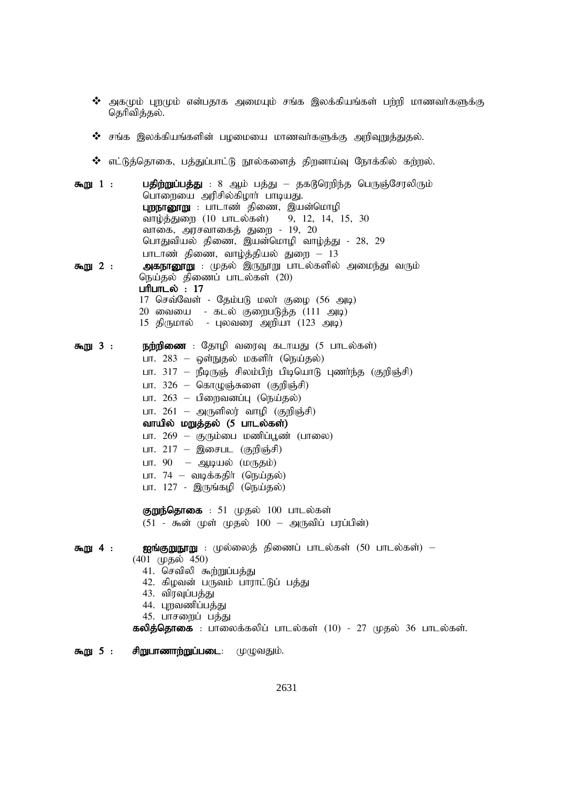- $\bm{\hat{B}}$  அகமும் புறமும் என்பதாக அமையும் சங்க இலக்கியங்கள் பற்றி மாணவர்களுக்கு தெரிவித்தல்.
- $\bm{\dot{\cdot}}$  சங்க இலக்கியங்களின் பழமையை மாணவர்களுக்கு அறிவுறுத்துதல்.
- $*$  எட்டுத்தொகை, பத்துப்பாட்டு நூல்களைத் திறனாய்வு நோக்கில் கற்றல்.
- **கூறு 1 : பகிற்றுப்பக்து** : 8 ஆம் பக்து ககடூரெறிந்த பெருஞ்சேரலிரும் பொறையை அரிசில்கிழார் பாடியது. புறநானூறு : பாடாண் திணை, இயன்மொழி வாழ்த்துறை (10 பாடல்கள்) 9, 12, 14, 15, 30 வாகை, அரசவாகைத் துறை - 19, 20 பொதுவியல் திணை, இயன்மொழி வாழ்த்து - 28, 29 பாடாண் திணை, வாழ்த்தியல் துறை –  $13$ \$W 2 : mfehD}W : Kjy; ,UE}W ghly;fspy; mike;J tUk; நெய்தல் திணைப் பாடல்கள் (20) பரிபாடல் $: 17$  $17$  செவ்வேள் - தேம்படு மலா் குழை (56 அடி)
	- $20$  வையை கடல் குறைபடுத்த (111 அடி)
	- $15$  திருமால் புலவரை அறியா ( $123$  அடி)
- $\overline{f}$ றை 3 : நற்றிணை : தோழி வரைவு கடாயது (5 பாடல்கள்) பா.  $283$  – ஒள்நுதல் மகளிர் (நெய்தல்) பா. 317 – நீடிருஞ் சிலம்பிற் பிடியொடு புணர்ந்த (குறிஞ்சி)
	- பா.  $326 \mathsf{Gat}(\mathsf{Q}(\vec{6},\vec{5})$ ளை (குறிஞ்சி)
	- பா.  $263$  பிறைவனப்பு (நெய்தல்)
	- பா.  $261$  அருளிலர் வாழி (குறிஞ்சி)
	- வாயில் மறுத்தல் (5 பாடல்கள்)
	- பா. 269 குரும்பை மணிப்பூண் (பாலை)
	- பா.  $217$  இசைபட (குறிஞ்சி)
	- பா. 90 ஆடியல் (மருதம்)
	- பா.  $74$  வடிக்கதிர் (நெய்தல்)
	- பா.  $127$  இருங்கழி (நெய்தல்)
	- குறுந்தொகை: 51 முதல்  $100$  பாடல்கள்  $(51 - \bar{\delta} \bar{\delta} \bar{\delta})$  (முத்ல்  $100 - \bar{\delta}$ குவிப் பரப்பின்)

# \$W 4 : Iq;FWE}W : Ky;iyj; jpizg; ghly;fs; (50 ghly;fs;) –

- (401 முதல் 450)
	- 41. செவிலி கூற்றுப்பத்து
	- 42. கிழவன் பருவம் பாராட்டுப் பத்து
	- 43. விரவுப்பத்து
	- 44. புறவணிப்பத்து
	- 45. பாசறைப் பத்து

கலித்தொகை : பாலைக்கலிப் பாடல்கள் (10) - 27 முதல் 36 பாடல்கள்.

 $\mathbf{F} \cdot \mathbf{F} = \mathbf{F} \cdot \mathbf{F}$  and  $\mathbf{F} \cdot \mathbf{F} = \mathbf{F} \cdot \mathbf{F}$ .  $\mathbf{F} \cdot \mathbf{F} = \mathbf{F} \cdot \mathbf{F} \cdot \mathbf{F}$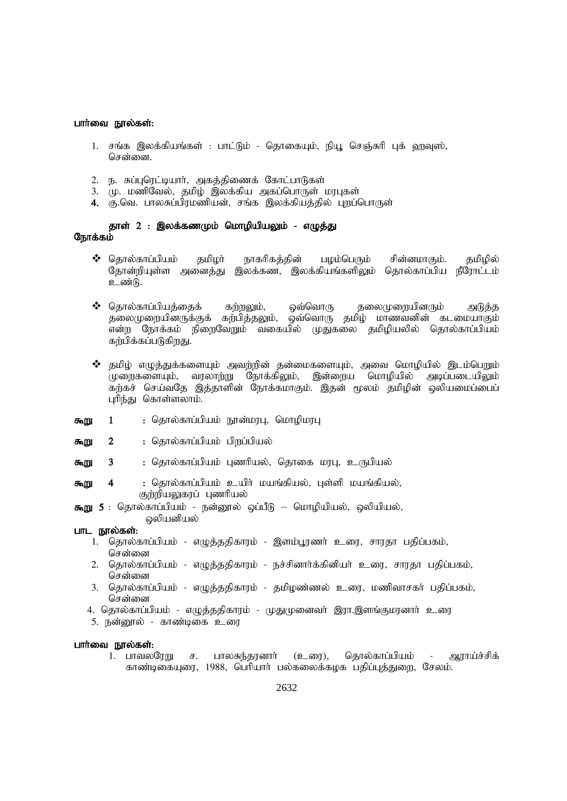#### பார்வை நூல்கள்:

- 1. சங்க இலக்கியங்கள் : பாட்டும் தொகையும், நியூ செஞ்சுரி புக் ஹவுஸ், சென்னை.
- 2. ந. சுப்புரெட்டியார், அகத்திணைக் கோட்பாடுகள்
- 3. மு. மணிவேல், தமிழ் இலக்கிய அகப்பொருள் மரபுகள்
- 4. கு.வெ. பாலசுப்பிரமணியன், சங்க இலக்கியத்தில் புறப்பொருள்

# தாள் 2 : இலக்கணமும் மொழியியலும் - எழுத்து நோக்கம்

- $\clubsuit$  கொல்காப்பியம் தமிழர் நாகரிகத்தின் பழம்பெரும் சின்னமாகும். தமிழில் தோன்றியுள்ள அனைத்து இலக்கண, இலக்கியங்களிலும் தொல்காப்பிய நீரோட்டம் உண்டு.
- $\clubsuit$  தொல்காப்பியத்தைக் கற்றலும், ஒவ்வொரு தலைமுறையினரும் அடுத்த தலைமுறையினருக்குக் கற்பித்தலும், ஒவ்வொரு தமிழ் மாணவனின் கடமையாகும் .<br>என்ற நோக்கம் நிரைவேறும் வகையில் முதுகலை தமிழியலில் தொல்காப்பியம் கர்பிக்கப்படுகிறது.
- $\bm{\hat{B}}$  தமிழ் எழுத்துக்களையும் அவற்றின் தன்மைகளையும், அவை மொழியில் இடம்பெறும் முறைகளையும், வரலாற்று நோக்கிலும், இன்றைய மொழியில் அடிப்படையிலும் கற்கச் செய்வதே இத்தாளின் நோக்கமாகும். இதன் மூலம் தமிழின் ஒலியமைப்பைப் புரிந்து கொள்ளலாம்.
- கூறு  $\mathbf{1}$ : தொல்காப்பியம் நூன்மரபு, மொழிமரபு
- $\overline{2}$ : தொல்காப்பியம் பிறப்பியல் கூறு
- 3 : தொல்காப்பியம் புணரியல், தொகை மரபு, உருபியல் கூறு
- : தொல்காப்பியம் உயிர் மயங்கியல், புள்ளி மயங்கியல்,  $\boldsymbol{A}$ கூறு குற்றியலுகரப் புணரியல்
- கூறு 5 : தொல்காப்பியம் நன்னூல் ஒப்பீடு மொழியியல், ஒலியியல், ஒலியனியல்

- பாட நூல்கள்:
	- 1. தொல்காப்பியம் எழுத்ததிகாரம் இளம்பூரணா் உரை, சாரதா பதிப்பகம், சென்னை
	- 2. தொல்காப்பியம் எழுத்ததிகாரம் நச்சினார்க்கினியர் உரை, சாரதா பதிப்பகம், சென்னை
	- 3. தொல்காப்பியம் எழுத்ததிகாரம் தமிழண்ணல் உரை, மணிவாசகா் பதிப்பகம், சென்னை
	- 4. தொல்காப்பியம் எழுத்ததிகாரம் முதுமுனைவா் இரா.இளங்குமரனாா் உரை
	- 5. நன்னூல் காண்டிகை உரை

#### பார்வை நூல்கள்:

1. பாவலரேறு பாலசுந்தரனார் (உரை), தொல்காப்பியம் - ஆராய்ச்சிக் ச. காண்டிகையுரை, 1988, பெரியார் பல்கலைக்கழக பதிப்புத்துறை, சேலம்.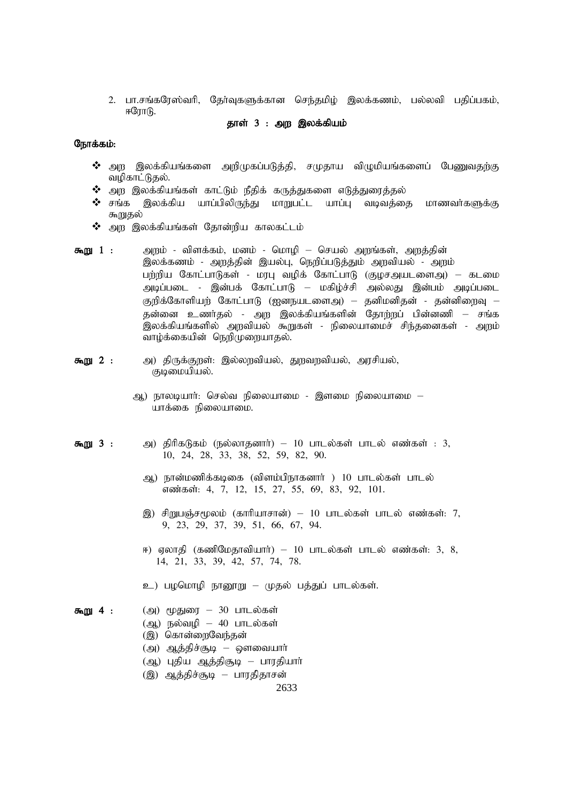2. பா.சங்கரேஸ்வரி, தேர்வுகளுக்கான செந்தமிழ் இலக்கணம், பல்லவி பதிப்பகம்,  $F$ ரோடு.

# தாள் 3 : அற இலக்கியம்

#### நோக்கம்:

- $\bm{\hat{B}}$  அற இலக்கியங்களை அறிமுகப்படுத்தி, சமுதாய விழுமியங்களைப் பேணுவதற்கு வழிகாட்டுதல்.
- $\boldsymbol{\hat{v}}$  அற இலக்கியங்கள் காட்டும் நீதிக் கருத்துகளை எடுத்துரைத்தல்
- $\bm{\hat{y}}$  சங்க இலக்கிய யாப்பிலிருந்து மாறுபட்ட யாப்ப வடிவக்கை மாணவா்களுக்கு கூறுதல்
- $\bm{\hat{B}}$  அற இலக்கியங்கள் தோன்றிய காலகட்டம்
- கூறு 1 : அறம் விளக்கம், மனம் மொழி செயல் அறங்கள், அறத்தின் இலக்கணம் - அறத்தின் இயல்பு, நெறிப்படுத்தும் அறவியல் - அறம் பற்றிய கோட்பாடுகள் - மரபு வழிக் கோட்பாடு (குழசஅயடளைஅ) – கடமை அடிப்படை - இன்பக் கோட்பாடு – மகிழ்ச்சி அல்லது இன்பம் அடிப்படை குறிக்கோளியற் கோட்பாடு (ஐனநயடளைஅ) – தனிமனிதன் - தன்னிறைவு – தன்னை உணர்தல் - அற இலக்கியங்களின் தோற்றப் பின்னணி – சங்க .<br>இலக்கியங்களில் அறவியல் கூறுகள் - நிலையாமைச் சிந்தனைகள் - அறம் வாழ்க்கையின் நெறிமுறையாகல்.
- **கூறு 2 :** அ) திருக்குறள்: இல்லறவியல், துறவறவியல், அரசியல், குடிமையியல்.
	- ஆ) நாலடியார்: செல்வ நிலையாமை இளமை நிலையாமை யாக்கை நிலையாமை.
- கூறு 3 : அ) திரிகடுகம் (நல்லாதனார்) 10 பாடல்கள் பாடல் எண்கள் : 3, 10, 24, 28, 33, 38, 52, 59, 82, 90.
	- ஆ) நான்மணிக்கடிகை (விளம்பிநாகனார் ) 10 பாடல்கள் பாடல் எண்கள்: 4, 7, 12, 15, 27, 55, 69, 83, 92, 101.
	- இ) சிறுபஞ்சமூலம் (காரியாசான்) 10 பாடல்கள் பாடல் எண்கள்: 7, 9, 23, 29, 37, 39, 51, 66, 67, 94.
	- ஈ) ஏலாதி (கணிமேதாவியார்) 10 பாடல்கள் பாடல் எண்கள்: 3, 8, 14, 21, 33, 39, 42, 57, 74, 78.
	- உ) பழமொழி நானூறு முதல் பத்துப் பாடல்கள்.
- கூறு 4 :  $(2)$  முதுரை 30 பாடல்கள்  $(\mathfrak{g})$  நல்வழி – 40 பாடல்கள் (இ) கொன்றைவேந்தன்  $\mathcal{L}(\mathfrak{g})$  ஆத்திச்சூடி – ஔவையார் (ஆ) புதிய ஆத்திசூடி – பாரதியாா்
	- (இ) ஆத்திச்சூடி பாரதிதாசன்

2633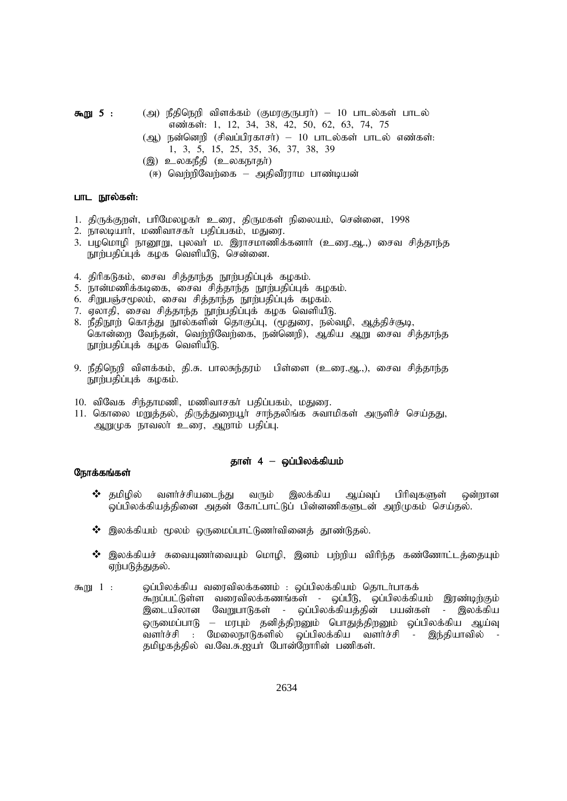$\pi_{0}$  5 : (அ) நீதிநெறி விளக்கம் (குமரகுருபரா்) – 10 பாடல்கள் பாடல் எண்கள்: 1, 12, 34, 38, 42, 50, 62, 63, 74, 75

- $(\omega, \omega)$  நன்னெறி (சிவப்பிரகாசர்) 10 பாடல்கள் பாடல் எண்கள்: 1, 3, 5, 15, 25, 35, 36, 37, 38, 39
- (இ) உலகநீதி (உலகநாதா்)
- $(F)$  வெற்றிவேற்கை அதிவீரராம பாண்டியன்

#### பாட நூல்கள்:

- 1. திருக்குறள், பரிமேலழகர் உரை, திருமகள் நிலையம், சென்னை, 1998
- 2. நாலடியார், மணிவாசகர் பதிப்பகம், மதுரை.
- 3. பழமொழி நானூறு, புலவர் ம. இராசமாணிக்கனார் (உரை.ஆ.,) சைவ சித்தாந்த நூற்பதிப்புக் கழக வெளியீடு, சென்னை.
- 4. திரிகடுகம், சைவ சித்தாந்த நூற்பதிப்புக் கழகம்.
- 5. நான்மணிக்கடிகை, சைவ சித்தாந்த நூற்பதிப்புக் கமகம்.
- 6. சிறுபஞ்சமூலம், சைவ சித்தாந்த நூற்பதிப்புக் கழகம்.
- 7. ஏலாதி, சைவ சித்தாந்த நூற்பதிப்புக் கழக வெளியீடு.
- 8. நீதிநூற் கொத்து நூல்களின் தொகுப்பு, (மூதுரை, நல்வழி, ஆத்திச்சூடி, கொன்றை வேந்தன், வெற்றிவேற்கை, நன்னெறி), ஆகிய ஆறு சைவ சித்தாந்த நூற்பதிப்புக் கழக வெளியீடு.
- 9. நீதிநெறி விளக்கம், தி.சு. பாலசுந்தரம் பிள்ளை (உரை.ஆ.,), சைவ சித்தாந்த நூற்பதிப்புக் கழகம்.
- 10. விவேக சிந்தாமணி, மணிவாசகர் பதிப்பகம், மதுரை.
- 11. கொலை மறுத்தல், திருத்துறையூா் சாந்தலிங்க சுவாமிகள் அருளிச் செய்தது, ஆறுமுக நாவலா் உரை, ஆறாம் பதிப்பு.

#### தாள் 4 – ஒப்பிலக்கியம்

## நோக்கங்கள்

- $\boldsymbol{\hat{v}}$  தமிழில் வளர்ச்சியடைந்து வரும் இலக்கிய ஆய்வுப் பிரிவுகளுள் ஒன்றான ஒப்பிலக்கியத்தினை அதன் கோட்பாட்டுப் பின்னணிகளுடன் அறிமுகம் செய்தல்.
- $\boldsymbol{\hat{y}}$  இலக்கியம் மூலம் ஒருமைப்பாட்டுணர்வினைத் தூண்டுதல்.
- $\bm{\hat{y}}$  இலக்கியச் சுவையுணர்வையும் மொழி, இனம் பற்றிய விரிந்த கண்ணோட்டத்தையும் ஏற்படுத்துதல்.
- $\overline{x}_{m}$  1 :  $\overline{Q}$ ழ்பிலக்கிய வரைவிலக்கணம் :  $\overline{Q}$ ப்பிலக்கியம் தொடர்பாகக் கூறப்பட்டுள்ள வரைவிலக்கணங்கள் - ஒப்பீடு, ஒப்பிலக்கியம் இரண்டிற்கும் இடையிலான வேறுபாடுகள் - ஒப்பிலக்கியத்தின் பயன்கள் - இலக்கிய ஒருமைப்பாடு – மரபும் தனித்திறனும் பொதுத்திறனும் ஒப்பிலக்கிய ஆய்வு ்வளர்ச்சி : மேலைநாடுகளில் ஒப்பிலக்கிய வளர்ச்சி - இந்தியாவில் -தமிழகத்தில் வ.வே.சு.ஐயர் போன்ளோரின் பணிகள்.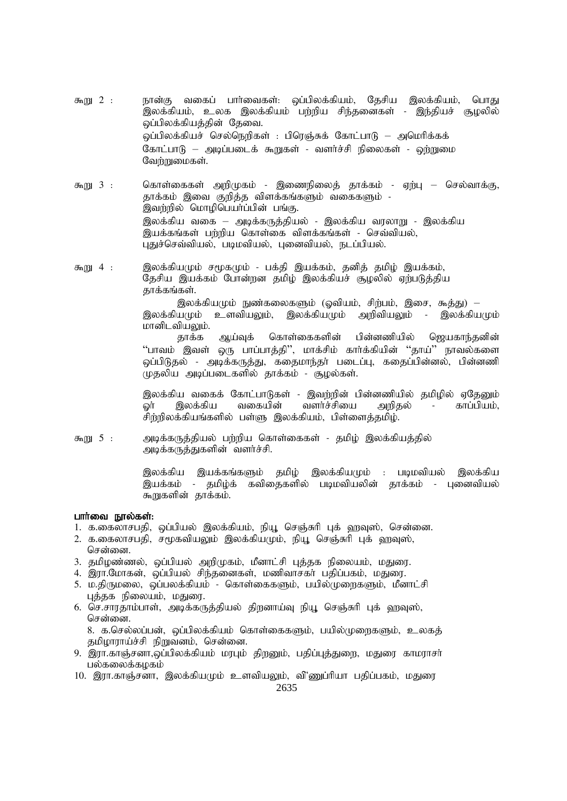- $\delta n$ <sub>13</sub> 2 : நான்கு வகைப் பார்வைகள்: ஒப்பிலக்கியம், தேசிய இலக்கியம், பொது .<br>இலக்கியம், உலக இலக்கியம் பற்றிய சிந்தனைகள் - இந்தியச் சூழலில் ஒப்பிலக்கியத்தின் தேவை. <u> ஓப்பிலக்கியச் செல்நெறிகள் : பிரெஞ்சுக் கோட்பாடு — அமெரிக்கக்</u> கோட்பாடு – அடிப்படைக் கூறுகள் - வளர்ச்சி நிலைகள் - ஒற்றுமை வேர்றுமைகள்.
- கொள்கைகள் அறிமுகம் இணைநிலைத் தாக்கம் ஏற்பு செல்வாக்கு,  $\delta m$ <sub>13</sub> 3 : .<br>தாக்கம் இவை குறித்த விளக்கங்களும் வகைகளும் -.<br>இவர்றில் மொழிபெயர்ப்பின் பங்கு. இலக்கிய வகை — அடிக்கருத்தியல் - இலக்கிய வரலாறு - இலக்கிய இயக்கங்கள் பற்றிய கொள்கை விளக்கங்கள் - செவ்வியல், புதுச்செவ்வியல், படிமவியல், புனைவியல், நடப்பியல்.
- இலக்கியமும் சமூகமும் பக்தி இயக்கம், தனித் தமிழ் இயக்கம்,  $\delta n$ <sub>13</sub> 4 : தேசிய இயக்கம் போன்றன தமிழ் இலக்கியச் சூழலில் ஏற்படுத்திய தாக்கங்கள்.

இலக்கியமும் நுண்கலைகளும் (ஓவியம், சிற்பம், இசை, கூத்து) — இலக்கியமும் உளவியலும், இலக்கியமும் அறிவியலும் - இலக்கியமும் மானிடவியலும்.

கொள்கைகளின் தாக்க ஆய்வுக் பின்னணியில் ஜெயகாந்தனின் ''பாவம் இவள் ஒரு பாப்பாத்தி'', மாக்சிம் கார்க்கியின் ''தாய்'' நாவல்களை ஒப்பிடுதல் - அடிக்கருத்து, கதைமாந்தர் படைப்பு, கதைப்பின்னல், பின்னணி முதலிய அடிப்படைகளில் தாக்கம் - சூழல்கள்.

இலக்கிய வகைக் கோட்பாடுகள் - இவற்றின் பின்னணியில் தமிழில் ஏதேனும் வளர்ச்சியை இலக்கிய வகையின் காப்பியம். ொ அறிதல்  $\sim$ சிற்றிலக்கியங்களில் பள்ளு இலக்கியம், பிள்ளைத்தமிம்.

கூறு 5: அடிக்கருத்தியல் பற்றிய கொள்கைகள் - தமிழ் இலக்கியத்தில் அடிக்கருத்துகளின் வளர்ச்சி.

> இலக்கிய இயக்கங்களும் தமிழ் இலக்கியமும் : படிமவியல் இலக்கிய இயக்கம் - தமிழ்க் கவிதைகளில் படிமவியலின் தாக்கம் - புனைவியல் கூறுகளின் தாக்கம்.

#### பார்வை நூல்கள்:

- 1. க.கைலாசபதி, ஒப்பியல் இலக்கியம், நியூ செஞ்சுரி புக் ஹவுஸ், சென்னை.
- 2. க.கைலாசபதி, சமூகவியலும் இலக்கியமும், நியூ செஞ்சுரி புக் வரவுஸ், சென்னை.
- 3. தமிழண்ணல், ஒப்பியல் அறிமுகம், மீனாட்சி புத்தக நிலையம், மதுரை.
- 4. இரா.மோகன், ஒப்பியல் சிந்தனைகள், மணிவாசகா் பதிப்பகம், மதுரை.
- 5. ம.திருமலை, ஒப்பலக்கியம் கொள்கைகளும், பயில்முரைகளும், மீனாட்சி புத்தக நிலையம், மதுரை.
- 6. செ.சாரதாம்பாள், அடிக்கருத்தியல் திறனாய்வு நியூ செஞ்சுரி புக் ஹவுஸ், சென்னை.

8. க.செல்லப்பன், ஒப்பிலக்கியம் கொள்கைகளும், பயில்முறைகளும், உலகத் தமிழாராய்ச்சி நிறுவனம், சென்னை.

- 9. இரா.காஞ்சனா,ஒப்பிலக்கியம் மரபும் திறனும், பதிப்புத்துறை, மதுரை காமராசா் பல்கலைக்கழகம்
- 10. இரா.காஞ்சனா, இலக்கியமும் உளவியலும், வி'ணுப்ரியா பதிப்பகம், மதுரை

2635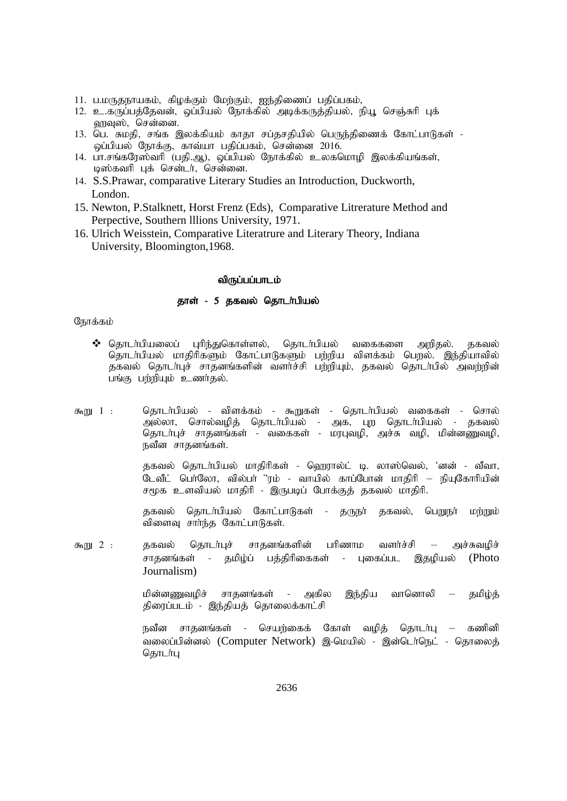- 11. ப.மருதநாயகம், கிழக்கும் மேற்கும், ஐந்திணைப் பதிப்பகம்,
- 12. உ.கருப்பத்தேவன், ஒப்பியல் நோக்கில் அடிக்கருத்தியல், நியூ செஞ்சுரி புக் வரவுஸ், சென்னை.
- 13. பெ. சுமதி, சங்க இலக்கியம் காதா சப்தசதியில் பெருந்திணைக் கோட்பாடுகள் -ஒப்பியல் நோக்கு, காவ்யா பதிப்பகம், சென்னை  $2016$ .
- 14. பா.சங்கரேஸ்வரி (பதி.ஆ), ஒப்பியல் நோக்கில் உலகமொழி இலக்கியங்கள், டிஸ்கவரி புக் சென்டர், சென்னை.
- 14. S.S.Prawar, comparative Literary Studies an Introduction, Duckworth, London.
- 15. Newton, P.Stalknett, Horst Frenz (Eds), Comparative Litrerature Method and Perpective, Southern lllions University, 1971.
- 16. Ulrich Weisstein, Comparative Literatrure and Literary Theory, Indiana University, Bloomington,1968.

#### விருப்பப்பாடம்

#### தாள் - 5 தகவல் தொடர்பியல்

# நோக்கம்

- $\boldsymbol{\hat{v}}$  தொடா்பியலைப் புரிந்துகொள்ளல், தொடா்பியல் வகைகளை அறிதல். தகவல் தொடா்பியல் மாதிரிகளும் கோட்பாடுகளும் பற்றிய விளக்கம் பெறல். இந்தியாவில் தகவல் தொடா்புச் சாதனங்களின் வளா்ச்சி பற்றியும், தகவல் தொடா்பில் அவற்றின் பங்கு பற்றியும் உணர்தல்.
- கூறு 1 : தொடர்பியல் விளக்கம் கூறுகள் தொடர்பியல் வகைகள் சொல் அல்லா, சொல்வழித் தொடா்பியல் - அக, புற தொடா்பியல் - தகவல் தொடா்புச் சாதனங்கள் - வகைகள் - மரபுவழி, அச்சு வழி, மின்னணுவழி, நவீன சாதனங்கள்.

தகவல் தொடர்பியல் மாதிரிகள் - ஹெரால்ட் டி. லாஸ்வெல், 'னன் - வீவா, டேவீட் பெர்லோ, வில்பர் ''ரம் - வாயில் காப்போன் மாதிரி — நியுகோரியின்  $F(y)$ க உளவியல் மாதிரி - இருபடிப் போக்குத் தகவல் மாதிரி.

தகவல் தொடர்பியல் கோட்பாடுகள் - தருநர் தகவல், பெறுநர் மற்றும் விளைவு சார்ந்த கோட்பாடுகள்.

கூறு 2 : தகவல் தொடர்புச் சாதனங்களின் பரிணாம வளர்ச்சி — அச்சுவழிச் சாதனங்கள் - தமிழ்ப் பக்கிரிகைகள் - பகைப்பட இதமியல் (Photo Journalism)

> மின்னணுவழிச் சாதனங்கள் - அகில இந்திய வானொலி — தமிழ்த் திரைப்படம் - இந்தியத் தொலைக்காட்சி

> நவீன சாதனங்கள் - செயற்கைக் கோள் வழித் தொடர்பு – கணினி வலைப்பின்னல் (Computer Network) இ-மெயில் - இன்டெர்நெட் - தொலைத் கொடர்பு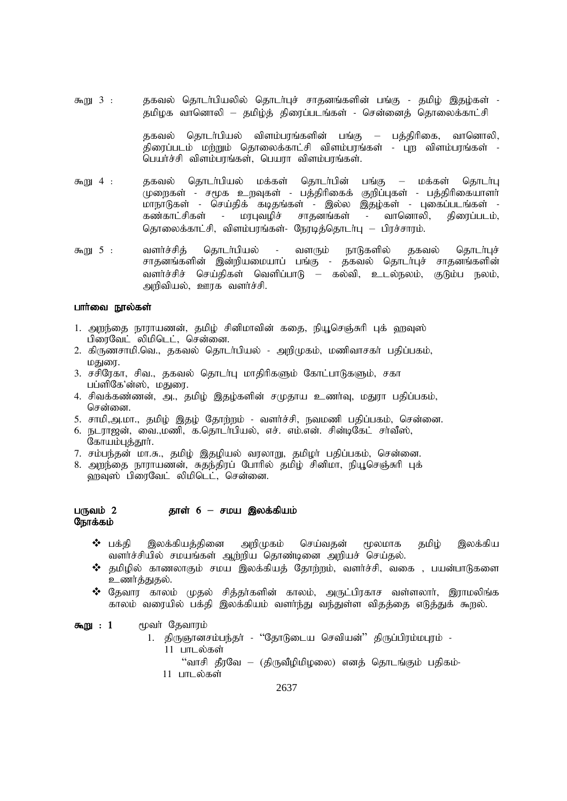கூறு 3 : தகவல் தொடர்பியலில் தொடர்புச் சாதனங்களின் பங்கு - தமிழ் இதழ்கள் -தமிமக வானொலி – தமிம்க் கிரைப்படங்கள் - சென்னைக் கொலைக்காட்சி

> தகவல் தொடர்பியல் விளம்பரங்களின் பங்கு — பத்திரிகை, வானொலி, கிரைப்படம் மற்றும் கொலைக்காட்சி விளம்பாங்கள் - பற விளம்பாங்கள் -பெயர்ச்சி விளம்பரங்கள், பெயரா விளம்பரங்கள்.

- \$W 4 : jfty; njhlh;gpay; kf;fs; njhlh;gpd; gq;F kf;fs; njhlh;G முறைகள் - சமூக உறவுகள் - பத்திரிகைக் குறிப்புகள் - பத்திரிகையாளர் .<br>மாநாடுகள் - செய்திக் கடிதங்கள் - இல்ல இதழ்கள் - புகைப்படங்கள் -<br>கண்காட்சிகள் - மரபுவழிச் சாதனங்கள் - வானொலி, திரைப்படம், சாதனங்கள் - வானொலி, திரைப்படம், தொலைக்காட்சி, விளம்பரங்கள்- நேரடித்தொடர்பு – பிரச்சாரம்.
- கூறு 5 : வளர்ச்சித் தொடர்பியல் வளரும் நாடுகளில் தகவல் தொடர்புச் சாதனங்களின் இன்றியமையாப் பங்கு - தகவல் தொடர்புச் சாதனங்களின் வளர்ச்சிச் செய்திகள் வெளிப்பாடு – கல்வி, உடல்நலம், குடும்ப நலம், அறிவியல், ஊரக வளர்ச்சி.

# பார்வை நூல்கள்

- 1. அறந்தை நாராயணன், தமிழ் சினிமாவின் கதை, நியூசெஞ்சுரி புக் ஹவுஸ் பிரைவேட் லிமிடெட், சென்னை.
- 2. கிருணசாமி.வெ., தகவல் தொடா்பியல் அறிமுகம், மணிவாசகா் பதிப்பகம், மகுண்.
- 3. சசிரேகா, சிவ., தகவல் தொடர்பு மாதிரிகளும் கோட்பாடுகளும், சகா பப்ளிகே'ன்ஸ், மதுரை.
- 4. சிவக்கண்ணன், அ., தமிழ் இதழ்களின் சமுதாய உணர்வு, மதுரா பதிப்பகம், சென்னை.
- 5. சாமி,அ.மா., தமிழ் இதழ் தோற்றம் வளர்ச்சி, நவமணி பதிப்பகம், சென்னை.
- 6. நடராஜன், வை.,மணி, க.தொடர்பியல், எச். எம்.என். சின்டிகேட் சர்வீஸ், கோயம்புத்தூர்.
- 7. சம்பந்தன் மா.சு., தமிம் இதமியல் வரலாறு, தமிமா பதிப்பகம், சென்னை.
- 8. அறந்தை நாராயணன், சுதந்திரப் போரில் தமிழ் சினிமா, நியூசெஞ்சுரி புக் ்ளவ்ஸ் பிரைவேட் லிமிடெட், சென்னை.

## gUtk ; 2 jhs; 6 **–** rka ,yf;fpak; நோக்கம்

- $\boldsymbol{\hat{y}}$  பக்தி இலக்கியத்தினை அறிமுகம் செய்வதன் மூலமாக தமிழ் இலக்கிய வளர்ச்சியில் சமயங்கள் ஆற்றிய தொண்டினை அறியச் செய்தல்.
- $\bm{\hat{B}}$  தமிழில் காணலாகும் சமய இலக்கியத் தோற்றம், வளர்ச்சி, வகை , பயன்பாடுகளை உணர்த்துதல்.
- $\boldsymbol{\hat{X}}$  கேவார காலம் முகல் சிக்கர்களின் காலம், அருட்பிரகாச வள்ளலார், இராமலிங்க காலம் வரையில் பக்தி இலக்கியம் வளாந்து வந்துள்ள விதத்தை எடுத்துக் கூறல்.

### கூறு :  $1$  மூவர் தேவாரம்

- 1. திருஞானசம்பந்தா் ''தோடுடைய செவியன்'' திருப்பிரம்மபுரம் -
	- $11$  பாடல்கள்
		- "வாசி தீரவே (திருவீழிமிழலை) எனத் தொடங்கும் பதிகம்-
	- $11$  பாடல்கள்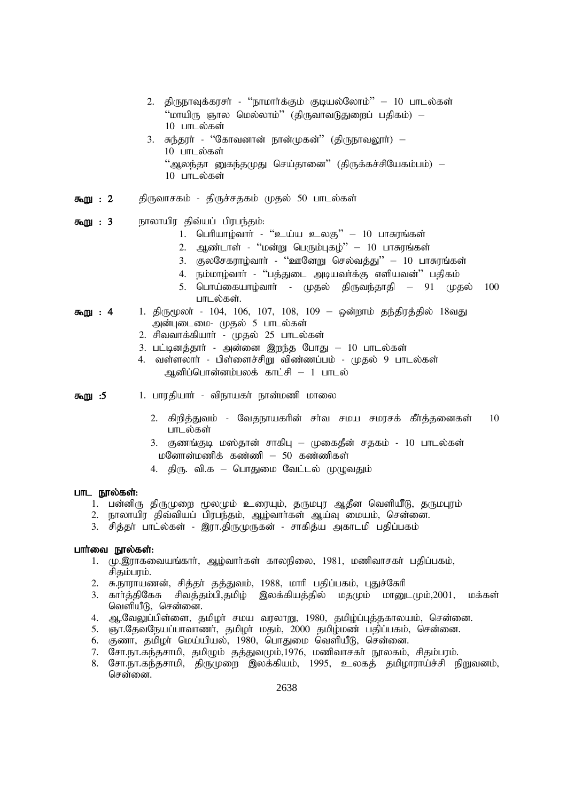- 2. திருநாவுக்கரசர் ''நாமார்க்கும் குடியல்லோம்'' 10 பாடல்கள் "மாயிரு ஞால மெல்லாம்" (திருவாவடுதுறைப் பதிகம்) –  $10$  பாடல்கள்
- 3. சுந்தரா் ''கோவனான் நான்முகன்'' (திருநாவலூா்)  $10$  பாடல்கள் "ஆலந்தா னுகந்தமுது செய்தானை" (திருக்கச்சியேகம்பம்) –  $10$  பாடல்கள்
- **கூறு : 2** திருவாசகம் திருச்சதகம் முதல் 50 பாடல்கள்
- **கூறு : 3** நாலாயிர திவ்யப் பிரபந்தம்:
	- 1. பெரியாழ்வார் "உய்ய உலகு" 10 பாசுரங்கள்
	- 2. ஆண்டாள் "மன்று பெரும்புகழ்" 10 பாசுரங்கள்
	- 3. குலசேகராழ்வார் "ஊனேறு செல்வத்து" 10 பாசுரங்கள்
	- 4. நம்மாழ்வார் 'பத்துடை அடியவர்க்கு எளியவன்'' பதிகம்
	- 5. பொய்கையாழ்வார் முதல் திருவந்தாதி 91 முதல்  $100$ பாடல்கள்.
- **கூறு : 4** 1. திருமூலா் 104, 106, 107, 108, 109 ஒன்றாம் தந்திரத்தில் 18வது அன்புடைமை- முதல் 5 பாடல்கள்
	- 2. சிவவாக்கியார் முதல் 25 பாடல்கள்
	- 3. பட்டினத்தார் அன்னை இறந்த போது 10 பாடல்கள்
	- 4. வள்ளலார் பிள்ளைச்சிறு விண்ணப்பம் முதல் 9 பாடல்கள் ஆனிப்பொன்னம்பலக் காட்சி – 1 பாடல்

**கூறு :5 1. பா**ரதியாா் - விநாயகா் நான்மணி மாலை

- 2. கிறித்துவம் வேதநாயகரின் சர்வ சமய சமரசக் கீர்த்தனைகள் 10 பாடல்கள்
- 3. குணங்குடி மஸ்தான் சாகிபு முகைதீன் சதகம் 10 பாடல்கள்  $L$ னோன்மணிக் கண்ணி – 50 கண்ணிகள்
- 4. திரு. வி.க பொதுமை வேட்டல் முழுவதும்

#### பாட நூல்கள்:

- 1. பன்னிரு திருமுறை மூலமும் உரையும், தருமபுர ஆதீன வெளியீடு, தருமபுரம்
- 2. நாலாயிர திவ்வியப் பிரபந்தம், ஆழ்வார்கள் ஆய்வு மையம், சென்னை.
- 3. சித்தா் பாட்ல்கள் இரா.திருமுருகன் சாகித்ய அகாடமி பதிப்பகம்

#### பார்வை நூல்கள்:

- 1. மு.இராகவையங்கார், ஆழ்வார்கள் காலநிலை, 1981, மணிவாசகர் பதிப்பகம், சிகம்பாம்.
- 2. சு.நாராயணன், சித்தா் தத்துவம், 1988, மாரி பதிப்பகம், புதுச்கோி
- 3. காா்த்திகேசு சிவத்தம்பி,தமிழ் இலக்கியத்தில் மதமும் மானுடமும்,2001, மக்கள் வெளியீடு, சென்னை.
- 4. ஆ.வேலுப்பிள்ளை, தமிழர் சமய வரலாறு, 1980, தமிழ்ப்புத்தகாலயம், சென்னை.
- 5. ஞா.தேவநேயப்பாவாணா், தமிழா் மதம், 2000 தமிழ்மண் பதிப்பகம், சென்னை.
- $6.$  சூணா, தமிழா மெய்யியல், 1980, பொதுமை வெளியீடு, சென்னை.
- 7. சோ.நா.கந்தசாமி, தமிழும் தத்துவமும்,1976, மணிவாசகர் நூலகம், சிதம்பரம்.
- 8. சோ.நா.கந்தசாமி, திருமுறை இலக்கியம், 1995, உலகத் தமிழாராய்ச்சி நிறுவனம், சென்னை.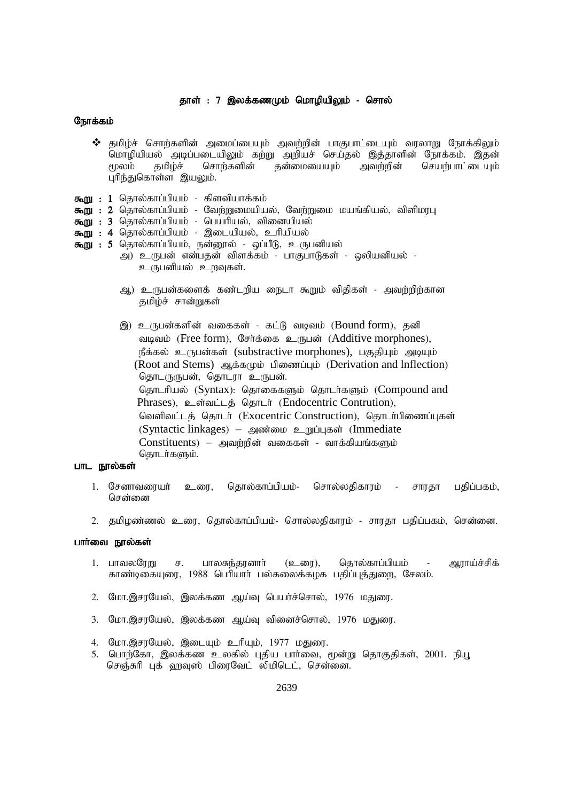# தாள் : 7 இலக்கணமும் மொழியிலும் - சொல்

# நோக்கம்

- $\bm{\hat{y}}$  தமிழ்ச் சொற்களின் அமைப்பையும் அவற்றின் பாகுபாட்டையும் வரலாறு நோக்கிலும் மொழியியல் அடிப்படையிலும் கற்று அறியச் செய்தல் இத்தாளின் நோக்கம். இதன்<br>மூலம் தமிழ்ச் சொற்களின் தன்மையையும் அவற்றின் செயற்பாட்டையும் செயற்பாட்டையும் புரிந்துகொள்ள இயலும்.
- $\overline{f}$ று: 1 தொல்காப்பியம் கிளவியாக்கம்
- **கூறு : 2** தொல்காப்பியம் வேற்றுமையியல், வேற்றுமை மயங்கியல், விளிமரபு
- கூறு : 3 தொல்காப்பியம் பெயரியல், வினையியல்
- கூறு : 4 தொல்காப்பியம் இடையியல், உரியியல்
- **கூறு : 5** தொல்காப்பியம், நன்னூல் ஒப்பீடு, உருபனியல்
	- அ) உருபன் என்பதன் விளக்கம் பாகுபாடுகள் ஒலியனியல் -உருபனியல் உருவகள்.
	- ஆ) உருபன்களைக் கண்டறிய நைடா கூறும் விதிகள் அவற்றிற்கான தமிழ்ச் சான்றுகள்
	- இ) உருபன்களின் வகைகள் கட்டு வடிவம் (Bound form), தனி வடிவம் (Free form), சேர்க்கை உருபன் (Additive morphones), நீக்கல் உருபன்கள் (substractive morphones), பகுதியும் அடியும்  $(Root and Stems)$   $\mathfrak{g}_k$   $\ddot{\mathfrak{s}}$ <sub>6</sub> $\varphi$   $\dot{\mathfrak{g}}$  and  $\ddot{\mathfrak{g}}$  (Derivation and Inflection) தொடருருபன், தொடரா உருபன். தொடரியல் (Syntax): தொகைகளும் தொடர்களும் (Compound and Phrases), உள்வட்டத் தொடர் (Endocentric Contrution), வெளிவட்டத் தொடர் (Exocentric Construction), தொடர்பிணைப்புகள் (Syntactic linkages) – mz;ik cWg;Gfs; (Immediate  $Constituents)$  – அவற்றின் வகைகள் - வாக்கியங்களும் தொடர்களும்.

# பாட நூல்கள்

- 1. சேனாவரையா் உரை, தொல்காப்பியம்- சொல்லதிகாரம் சாரதா பதிப்பகம், சென்னை
- 2. தமிழண்ணல் உரை, தொல்காப்பியம்- சொல்லதிகாரம் சாரதா பதிப்பகம், சென்னை.

#### பார்வை நூல்கள்

- 1. பாவலரேறு ச. பாலசுந்தரனார் (உரை), தொல்காப்பியம் ஆராய்ச்சிக் காண்டிகையுரை, 1988 பெரியார் பல்கலைக்கழக பதிப்புத்துறை, சேலம்.
- 2. மோ.இசரயேல், இலக்கண ஆய்வு பெயர்ச்சொல், 1976 மதுரை.
- 3. மோ.இசரயேல், இலக்கண ஆய்வு வினைச்சொல், 1976 மதுரை.
- 4. மோ.இசரயேல், இடையும் உரியும், 1977 மதுரை.
- 5. பொற்கோ, இலக்கண உலகில் புதிய பார்வை, மூன்று தொகுதிகள், 2001. நியூ செஞ்சுரி புக் ஹவுஸ் பிரைவேட் லிமிடெட், சென்னை.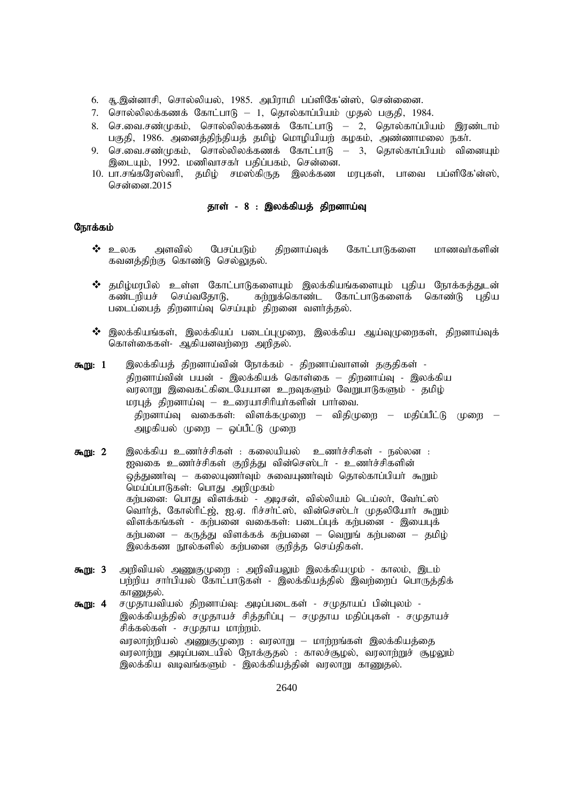- 6. சூ.இன்னாசி, சொல்லியல், 1985. அபிராமி பப்ளிகே'ன்ஸ், சென்ணை.
- 7. சொல்லிலக்கணக் கோட்பாடு 1, தொல்காப்பியம் முதல் பகுதி, 1984.
- 8. செ.வை.சண்முகம், சொல்லிலக்கணக் கோட்பாடு 2, தொல்காப்பியம் இரண்டாம் பகுதி, 1986. அனைத்திந்தியத் தமிழ் மொழியியற் கழகம், அண்ணாமலை நகர்.
- 9. செ.வை.சண்முகம், சொல்லிலக்கணக் கோட்பாடு 3, தொல்காப்பியம் வினையும் இடையும், 1992. மணிவாசகர் பதிப்பகம், சென்னை.
- 10. பா.சங்கரேஸ்வரி, தமிழ் சமஸ்கிருத இலக்கண மரபுகள், பாவை பப்ளிகே'ன்ஸ், சென்னை  $2015$

# தாள் - 8 : இலக்கியத் திறனாய்வு

- $\bm{\hat{B}}$  உலக அளவில் பேசப்படும் கிறனாய்வுக் கோட்பாடுகளை மாணவர்களின் கவனத்திற்கு கொண்டு செல்லுதல்.
- $\clubsuit$  தமிழ்மரபில் உள்ள கோட்பாடுகளையும் இலக்கியங்களையும் புதிய நோக்கத்துடன்<br>கண்டறியச் செய்வதோடு, கற்றுக்கொண்ட கோட்பாடுகளைக் கொண்டு புதிய கற்றுக்கொண்ட கோட்பாடுகளைக் கொண்டு புதிய படைப்பைத் திறனாய்வு செய்யும் திறனை வளர்த்தல்.
- $\boldsymbol{\hat{y}}$  இலக்கியங்கள், இலக்கியப் படைப்புமுறை, இலக்கிய ஆய்வுமுறைகள், திறனாய்வுக் கொள்கைகள்- ஆகியனவர்ளை அறிகல்.
- **கூறு: 1** இலக்கியத் திறனாய்வின் நோக்கம் திறனாய்வாளன் தகுதிகள் -திறனாய்வின் பயன் - இலக்கியக் கொள்கை — திறனாய்வு - இலக்கிய .<br>வரலாறு இவைகட்கிடையேயான உறவுகளும் வேறுபாடுகளும் - தமிழ் மரபுத் திறனாய்வு – உரையாசிரியர்களின் பார்வை. திறனாய்வு வகைகள்: விளக்க $\mu$ தை – விதி $\mu$ றை – மதிப்பீட்டு முறை – அழகியல் முறை – ஒப்பீட்டு முறை
- கூறு: 2 இலக்கிய உணர்ச்சிகள் : கலையியல் உணர்ச்சிகள் நல்லன : ஐவகை உணர்ச்சிகள் குறித்து வின்செஸ்டர் - உணர்ச்சிகளின் ஒத்துணர்வு — கலையுணர்வும் சுவையுணர்வும் தொல்காப்பியர் கூறும் மெய்ப்பாடுகள்: பொது அறிமுகம் கர்பனை: பொது விளக்கம் - அடிசன், வில்லியம் டெய்லா், வோ்ட்ஸ் வொர்த், கோல்ரிட்ஜ், ஐ.ஏ. ரிச்சர்ட்ஸ், வின்செஸ்டர் முதலியோர் கூறும் விளக்கங்கள் - கற்பனை வகைகள்: படைப்புக் கற்பனை - இயைபுக் கற்பனை – கருத்து விளக்கக் கற்பனை – வெறுங் கற்பனை – தமிழ் இலக்கண நூல்களில் கற்பனை குறித்த செய்திகள்.
- கூறு: 3 அறிவியல் அணுகுமுறை : அறிவியலும் இலக்கியமும் காலம், இடம் பற்றிய சாா்பியல் கோட்பாடுகள் - இலக்கியத்தில் இவற்றைப் பொருத்திக் காணுகல்.
- **கூறு: 4** சமுதாயவியல் திறனாய்வு: அடிப்படைகள் சமுதாயப் பின்புலம் -இலக்கியத்தில் சமுதாயச் சித்தரிப்பு – சமுதாய மதிப்புகள் - சமுதாயச் சிக்கல்கள் - சமுதாய மாற்றம். வரலாற்றியல் அணுகுமுறை : வரலாறு – மாற்றங்கள் இலக்கியத்தை வரலாற்று அடிப்படையில் நோக்குதல் : காலச்சூழல், வரலாற்றுச் சூழலும் இலக்கிய வடிவங்களும் - இலக்கியத்தின் வரலாறு காணுதல்.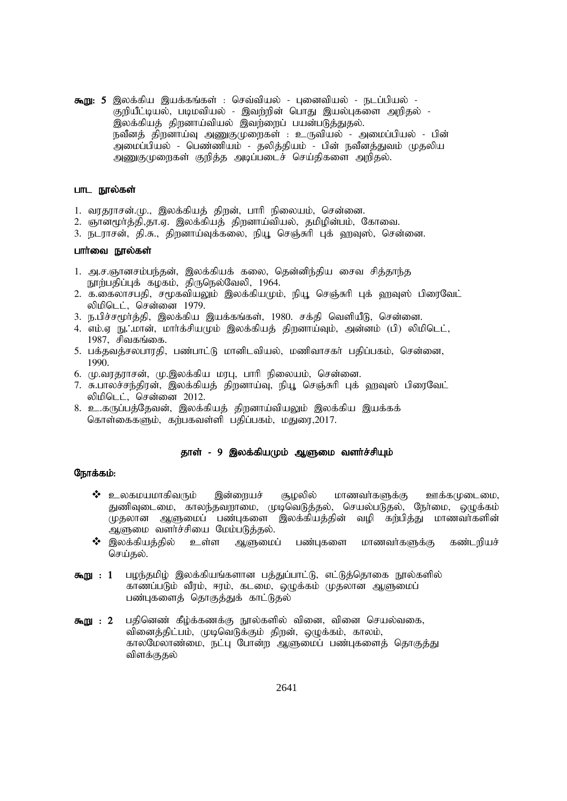கூறு: 5 இலக்கிய இயக்கங்கள் : செவ்வியல் - புனைவியல் - நடப்பியல் -குறியீட்டியல், படிமவியல் - இவற்றின் பொது இயல்புகளை அறிதல் -இலக்கியத் திறனாய்வியல் இவற்றைப் பயன்படுத்துதல். நவீனத் திறனாய்வு அணுகுமுறைகள் : உருவியல் - அமைப்பியல் - பின் .<br>அமைப்பியல் - பெண்ணியம் - தலித்தியம் - பின் நவீனத்துவம் முதலிய அணுகுமுறைகள் குறித்த அடிப்படைச் செய்திகளை அறிதல்.

#### பாட நூல்கள்

- 1. வரதராசன்.மு., இலக்கியத் திறன், பாரி நிலையம், சென்னை.
- 2. ஞானமூர்த்தி,தா.ஏ. இலக்கியத் திறனாய்வியல், தமிழின்பம், கோவை.
- 3. நடராசன், தி.சு., திறனாய்வுக்கலை, நியூ செஞ்சுரி புக் ஹவுஸ், சென்னை.

#### பார்வை நூல்கள்

- 1. அ.ச.ஞானசம்பந்தன், இலக்கியக் கலை, தென்னிந்திய சைவ சித்தாந்த நூற்பதிப்புக் கழகம், திருநெல்வேலி, 1964.
- 2. க.கைலாசபதி, சமூகவியலும் இலக்கியமும், நியூ செஞ்சுரி புக் ஹவுஸ் பிரைவேட் லிமிடெட், சென்னை 1979.
- 3. ந.பிச்சமூர்த்தி, இலக்கிய இயக்கங்கள், 1980. சக்தி வெளியீடு, சென்னை.
- 4. எம்.ஏ நு. மான், மார்க்சியமும் இலக்கியக் கிறனாய்வும், அன்னம் (பி) லிமிடெட்,  $1987$ , சிவகங்கை.
- 5. பக்தவத்சலபாரதி, பண்பாட்டு மானிடவியல், மணிவாசகர் பதிப்பகம், சென்னை, 1990.
- 6. மு.வரதராசன், மு.இலக்கிய மரபு, பாரி நிலையம், சென்னை.
- 7. சு.பாலச்சந்திரன், இலக்கியத் திறனாய்வு, நியூ செஞ்சுரி புக் ஹவுஸ் பிரைவேட் லிமிடெட், சென்னை 2012.
- 8. உ.கருப்பத்தேவன், இலக்கியத் திறனாய்வியலும் இலக்கிய இயக்கக் கொள்கைகளும், கற்பகவள்ளி பதிப்பகம், மதுரை,2017.

## தாள் - 9 இலக்கியமும் ஆளுமை வளர்ச்சியும்

- $\bm{\hat{P}}$  உலகமயமாகிவரும் இன்றையச் சூழலில் மாணவர்களுக்கு ஊக்கமுடைமை, துணிவுடைமை, காலந்தவறாமை, முடிவெடுத்தல், செயல்படுதல், நேர்மை, ஒழுக்கம் முதலான ஆளுமைப் பண்புகளை இலக்கியத்தின் வழி கற்பித்து மாணவர்களின் ஆளுமை வளர்ச்சியை மேம்படுத்தல்.
- $\boldsymbol{\hat{y}}$  இலக்கியத்தில் உள்ள ஆளுமைப் பண்புகளை மாணவர்களுக்கு கண்டறியச் செய்தல்.
- கூறு : 1 பழந்தமிழ் இலக்கியங்களான பத்துப்பாட்டு, எட்டுத்தொகை நூல்களில் காணப்படும் வீரம், ஈரம், கடமை, ஒழுக்கம் முதலான ஆளுமைப் பண்புகளைத் தொகுத்துக் காட்டுதல்
- **கூறு : 2** பதினெண் கீழ்க்கணக்கு நூல்களில் வினை, வினை செயல்வகை, வினைத்திட்பம், முடிவெடுக்கும் திறன், ஒழுக்கம், காலம், காலமேலாண்மை, நட்பு போன்ற ஆளுமைப் பண்புகளைத் தொகுத்து விளக்குகல்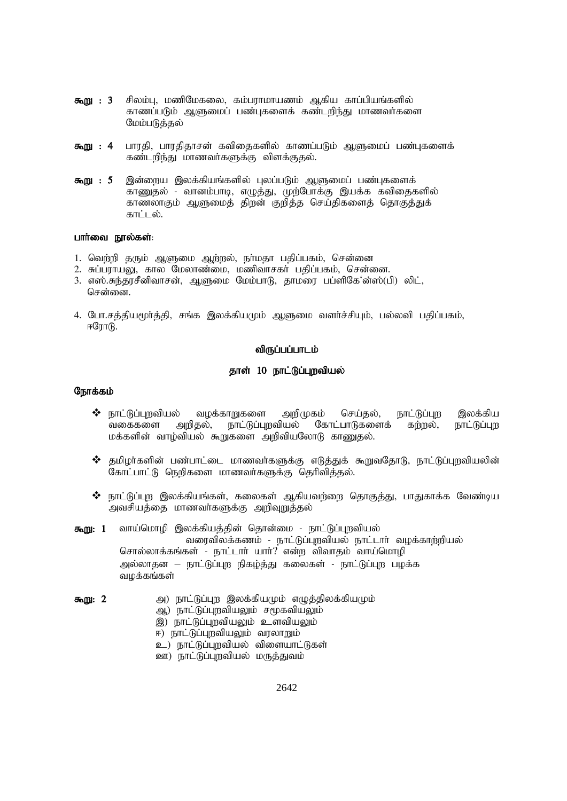- சிலம்பு, மணிமேகலை, கம்பராமாயணம் ஆகிய காப்பியங்களில் கூறு: 3 காணப்படும் ஆளுமைப் பண்புகளைக் கண்டறிந்து மாணவர்களை மேம்படுத்தல்
- கூறு: 4 பாரதி, பாரதிதாசன் கவிதைகளில் காணப்படும் ஆளுமைப் பண்புகளைக் கண்டரிந்து மாணவர்களுக்கு விளக்குதல்.
- இன்றைய இலக்கியங்களில் புலப்படும் ஆளுமைப் பண்புகளைக் கூறு: 5 காணுதல் - வானம்பாடி, எழுத்து, முற்போக்கு இயக்க கவிதைகளில் காணலாகும் ஆளுமைத் திறன் குறித்த செய்திகளைத் தொகுத்துக் காட்டல்.

#### பார்வை நூல்கள்:

- 1. வெற்றி தரும் ஆளுமை ஆற்றல், நா்மதா பதிப்பகம், சென்னை
- 2. சுப்பராயலு, கால மேலாண்மை, மணிவாசகர் பதிப்பகம், சென்னை.
- 3. எஸ்.சுந்தரசீனிவாசன், ஆளுமை மேம்பாடு, தாமரை பப்ளிகே'ன்ஸ்(பி) லிட், சென்னை.
- 4. போ.சக்கியமர்க்கி, சங்க இலக்கியமும் ஆளுமை வளர்ச்சியம், பல்லவி பகிப்பகம்,  $F$ ோ $T$  $R$ .

#### விருப்பப்பாடம்

#### தாள் 10 நாட்டுப்புறவியல்

- ❖ நாட்டுப்புறவியல் வழக்காறுகளை அறிமுகம் செய்தல், நாட்டுப்புற இலக்கிய வகைகளை அரிகல். நாட்டுப்புறவியல் கோட்பாடுகளைக் கர்றல், நாட்டுப்பு மக்களின் வாழ்வியல் கூறுகளை அறிவியலோடு காணுதல்.
- ❖ தமிழர்களின் பண்பாட்டை மாணவர்களுக்கு எடுத்துக் கூறுவதோடு, நாட்டுப்புறவியலின் கோட்பாட்டு நெறிகளை மாணவர்களுக்கு தெரிவித்தல்.
- $\bm{\hat{3}}$  நாட்டுப்பு இலக்கியங்கள், கலைகள் ஆகியவர்ளை கொகுத்து, பாதுகாக்க வேண்டிய அவசியத்தை மாணவர்களுக்கு அறிவுறுத்தல்
- வாய்மொழி இலக்கியத்தின் தொன்மை நாட்டுப்புறவியல் கூறு: 1 வரைவிலக்கணம் - நாட்டுப்புறவியல் நாட்டார் வழக்காற்றியல் சொல்லாக்கங்கள் - நாட்டார் யார்? என்ற விவாதம் வாய்மொழி அல்லாதன – நாட்டுப்புற நிகழ்த்து கலைகள் - நாட்டுப்புற பழக்க வழக்கங்கள்
- அ) நாட்டுப்புற இலக்கியமும் எழுத்திலக்கியமும் கூறு: 2 ஆ) நாட்டுப்புறவியலும் சமூகவியலும் இ) நாட்டுப்புறவியலும் உளவியலும்
	-
	- ஈ) நாட்டுப்புறவியலும் வரலாறும்
	- உ) நாட்டுப்புறவியல் விளையாட்டுகள்
	- ஊ) நாட்டுப்புறவியல் மருத்துவம்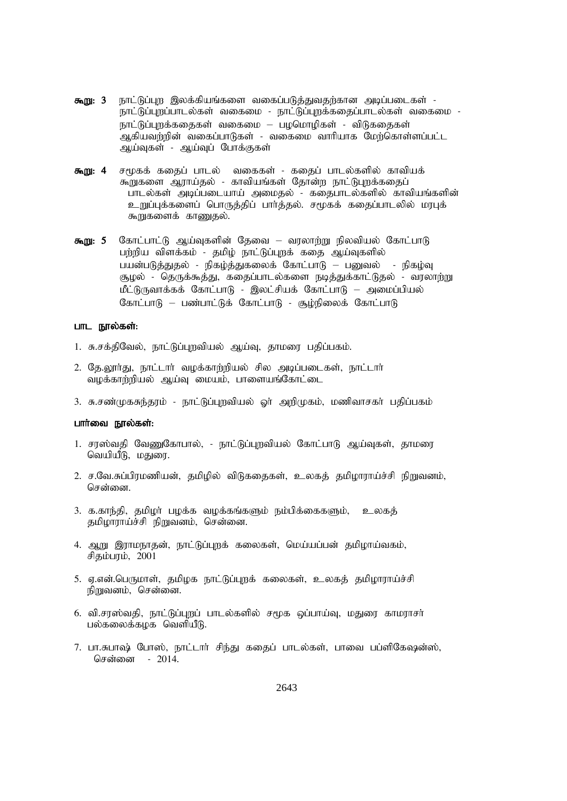- **கூறு: 3** நாட்டுப்புற இலக்கியங்களை வகைப்படுத்துவதற்கான அடிப்படைகள் -நாட்டுப்புறப்பாடல்கள் வகைமை - நாட்டுப்புறக்கதைப்பாடல்கள் வகைமை -நாட்டுப்புறக்கதைகள் வகைமை – பழமொழிகள் - விடுகதைகள் .<br>அகியவர்றின் வகைப்பாடுகள் - வகைமை வாரியாக மேற்கொள்ளப்பட்ட அய்வகள் - அய்வப் போக்குகள்
- **கூறு: 4** சமூகக் கதைப் பாடல் வகைகள் கதைப் பாடல்களில் காவியக் கூறுகளை ஆராய்தல் - காவியங்கள் தோன்ற நாட்டுபுறக்கதைப் பாடல்கள் அடிப்படையாய் அமைதல் - கதைபாடல்களில் காவியங்களின் உறுப்புக்களைப் பொருத்திப் பார்த்தல். சமூகக் கதைப்பாடலில் மரபுக் கூறுகளைக் காணுகல்.
- **கூறு: 5** கோட்பாட்டு ஆய்வுகளின் தேவை வரலாற்று நிலவியல் கோட்பாடு பற்றிய விளக்கம் - தமிழ் நாட்டுப்புறக் கதை ஆய்வுகளில் பயன்படுத்துதல் - நிகழ்த்துகலைக் கோட்பாடு – பனுவல் - நிகழ்வு சூழல் - தெருக்கூத்து, கதைப்பாடல்களை நடித்துக்காட்டுதல் - வரலாற்று  $\mathring{L}(\mathfrak{h})$ ருவாக்கக் கோட்பாடு - இலட்சியக் கோட்பாடு – அமைப்பியல் கோட்பாடு – பண்பாட்டுக் கோட்பாடு - சூழ்நிலைக் கோட்பாடு

#### பாட நூல்கள்:

- 1. சு.சக்திவேல், நாட்டுப்புறவியல் ஆய்வு, தாமரை பதிப்பகம்.
- 2. தே.லூர்து, நாட்டார் வழக்காற்றியல் சில அடிப்படைகள், நாட்டார் வழக்காற்றியல் ஆய்வு மையம், பாளையங்கோட்டை
- 3. சு.சண்முகசுந்தரம் நாட்டுப்புறவியல் ஓர் அறிமுகம், மணிவாசகர் பதிப்பகம்

# பார்வை நூல்கள்:

- 1. சரஸ்வதி வேணுகோபால், நாட்டுப்புறவியல் கோட்பாடு ஆய்வுகள், தாமரை வெயியீடு, மதுரை.
- 2. ச.வே.சுப்பிரமணியன், தமிழில் விடுகதைகள், உலகத் தமிமாராய்ச்சி நிறுவனம், சென்னை
- 3. க.காந்தி, தமிழர் பழக்க வழக்கங்களும் நம்பிக்கைகளும்,  $\epsilon$ லகத் தமிழாராய்ச்சி நிறுவனம், சென்னை.
- 4. ஆறு இராமநாதன், நாட்டுப்புறக் கலைகள், மெய்யப்பன் தமிழாய்வகம், சிதம்பரம்,  $2001$
- 5. ஏ.என்.பெருமாள், தமிழக நாட்டுப்புறக் கலைகள், உலகத் தமிமாராய்ச்சி நிறுவனம், சென்னை,
- 6. வி.சரஸ்வதி, நாட்டுப்புறப் பாடல்களில் சமூக ஒப்பாய்வு, மதுரை காமராசர் பல்கலைக்கமக வெளியீடு.
- 7. பா.சுபாஷ் போஸ், நாட்டார் சிந்து கதைப் பாடல்கள், பாவை பப்ளிகேஷன்ஸ், சென்னை - 2014.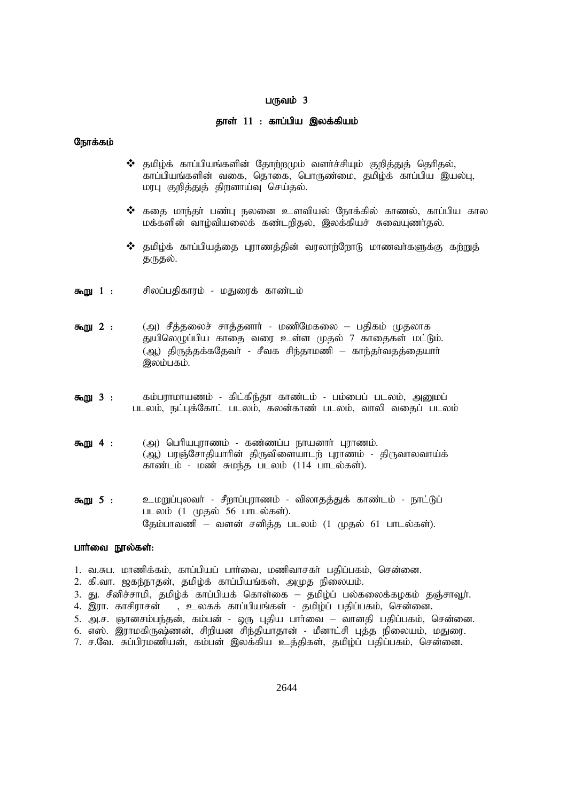# $L(f)$ வம் 3

#### தாள் 11 : காப்பிய இலக்கியம்

#### நோக்கம்

- $\boldsymbol{\hat{P}}$  தமிழ்க் காப்பியங்களின் தோற்றமும் வளர்ச்சியும் குறித்துத் தெரிதல், .<br>காப்பியங்களின் வகை, தொகை, பொருண்மை, தமிழ்க் காப்பிய இயல்பு, மரபு குறித்துத் திறனாய்வு செய்தல்.
- $\boldsymbol{\hat{}}$  கதை மாந்தா் பண்பு நலனை உளவியல் நோக்கில் காணல், காப்பிய கால மக்களின் வாழ்வியலைக் கண்டறிதல், இலக்கியச் சுவையுணர்தல்.
- $\boldsymbol{\hat{v}}$  தமிழ்க் காப்பியத்தை புராணத்தின் வரலாற்றோடு மாணவா்களுக்கு கற்றுத் குருகல்.
- **கூறு 1 :** சிலப்பதிகாரம் மதுரைக் காண்டம்
- **கூறு 2** : (அ) சீத்தலைச் சாத்தனார் மணிமேகலை பதிகம் முதலாக துயிலெழுப்பிய காதை வரை உள்ள முதல் 7 காதைகள் மட்டும். (ஆ) திருத்தக்கதேவர் - சீவக சிந்தாமணி – காந்தர்வதத்தையார் இலம்பகம்.
- **கூறு 3 :** சும்பராமாயணம் கிட்கிந்தா காண்டம் பம்பைப் படலம், அனுமப் படலம், நட்புக்கோட் படலம், கலன்காண் படலம், வாலி வதைப் படலம்
- $\delta$ று 4 : (அ) பெரியபுராணம் கண்ணப்ப நாயனார் புராணம். (ஆ) பரஞ்சோதியாரின் திருவிளையாடற் புராணம் - திருவாலவாய்க் காண்டம் - மண் சுமந்த படலம் (114 பாடல்கள்).
- **கூறு 5 :** உமறுப்புலவா் சீறாப்புராணம் விலாதத்துக் காண்டம் நாட்டுப் படலம்  $(1 \quad \text{(} \mu \text{B} \vec{\omega})$  56 பாடல்கள்). தேம்பாவணி – வளன் சனித்த படலம் (1 முதல் 61 பாடல்கள்).

#### பார்வை நால்கள்:

- 1. வ.சுப. மாணிக்கம், காப்பியப் பார்வை, மணிவாசகர் பதிப்பகம், சென்னை.
- 2. கி.வா. ஜகந்நாதன், தமிழ்க் காப்பியங்கள், அமுத நிலையம்.
- 3. து. சீனிச்சாமி, தமிழ்க் காப்பியக் கொள்கை தமிழ்ப் பல்கலைக்கழகம் தஞ்சாவூர்.
- 4. இரா. காசிராசன் , உலகக் காப்பியங்கள் தமிழ்ப் பதிப்பகம், சென்னை.
- 5. அ.ச. ஞானசம்பந்தன், கம்பன் ஒரு புதிய பார்வை வானதி பதிப்பகம், சென்னை.
- 6. எஸ். இராமகிருஷ்ணன், சிறியன சிந்தியாதான் மீனாட்சி புத்த நிலையம், மதுரை.
- 7. ச.வே. சுப்பிரமணியன், கம்பன் இலக்கிய உத்திகள், தமிழ்ப் பதிப்பகம், சென்னை.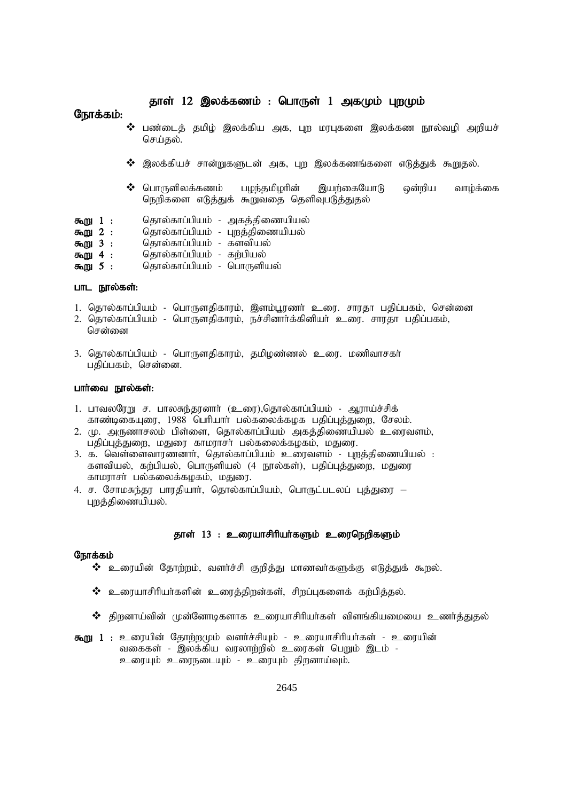# தாள் 12 இலக்கணம் : பொருள் 1 அகமும் புறமும்

#### நோக்கம்:

- $\boldsymbol{\hat{\cdot}}$  பண்டைத் தமிழ் இலக்கிய அக, புற மரபுகளை இலக்கண நூல்வழி அறியச் செய்தல்.
- $\clubsuit$  இலக்கியச் சான்றுகளுடன் அக, புற இலக்கணங்களை எடுத்துக் கூறுதல்.
- $\clubsuit$  பொருளிலக்கணம் பழந்தமிழரின் இயற்கையோடு ஒன்றிய வாழ்க்கை நெறிகளை எடுத்துக் கூறுவதை தெளிவுபடுத்துதல்
- **கூறு 1** : தொல்காப்பியம் அகத்திணையியல்
- **கூறு 2 :** தொல்காப்பியம் புறத்திணையியல்<br>**கூறு 3 :** தொல்காப்பியம் களவியல்
- 
- **கூறு 3 :** தொல்காப்பியம் களவியல்<br>**கூறு 4 :** தொல்காப்பியம் கற்பியல் **கூறு 4 :** தொல்காப்பியம் - கற்பியல்<br>**கூறு 5 :** தொல்காப்பியம் - பொருளி
- தொல்காப்பியம் பொருளியல்

#### பாட நூல்கள்:

- 1. தொல்காப்பியம் பொருளதிகாரம், இளம்பூரணர் உரை. சாரதா பதிப்பகம், சென்னை
- 2. தொல்காப்பியம் பொருளதிகாரம், நச்சினார்க்கினியர் உரை, சாரதா பதிப்பகம்,
- சென்னை
- 3. தொல்காப்பியம் பொருளதிகாரம், தமிழண்ணல் உரை. மணிவாசகர் பதிப்பகம், சென்னை.

#### பார்வை நூல்கள்:

- 1. பாவலரேறு ச. பாலசுந்தரனார் (உரை),தொல்காப்பியம் ஆராய்ச்சிக் காண்டிகையுரை, 1988 பெரியார் பல்கலைக்கழக பதிப்புத்துறை, சேலம்.
- 2. மு. அருணாசலம் பிள்ளை, தொல்காப்பியம் அகத்திணையியல் உரைவளம், பதிப்புத்துறை, மதுரை காமராசர் பல்கலைக்கழகம், மதுரை.
- 3. க. வெள்ளைவாரணனார், தொல்காப்பியம் உரைவளம் புறத்திணையியல் : களவியல், கற்பியல், பொருளியல் (4 நூல்கள்), பதிப்புத்துறை, மதுரை காமராசர் பல்கலைக்கழகம், மதுரை.
- 4. ச. சோமசுந்தர பாரதியார், தொல்காப்பியம், பொருட்படலப் புத்துரை புறத்திணையியல்.

#### தாள் 13 : உரையாசிரியா்களும் உரைநெறிகளும்

- $\bm{\hat{X}}$  உரையின் தோற்றம், வளர்ச்சி குறித்து மாணவர்களுக்கு எடுத்துக் கூறல்.
- $\bm{\hat{v}}$  உரையாசிரியர்களின் உரைத்திறன்கள், சிறப்புகளைக் கற்பித்தல்.
- $\boldsymbol{\hat{B}}$  திறனாய்வின் முன்னோடிகளாக உரையாசிரியா்கள் விளங்கியமையை உணா்த்துதல்
- **கூறு 1 :** உரையின் தோற்றமும் வளர்ச்சியும் உரையாசிரியர்கள் உரையின் வகைகள் - இலக்கிய வரலாற்றில் உரைகள் பெறும் இடம் -உரையும் உரைநடையும் - உரையும் திறனாய்வும்.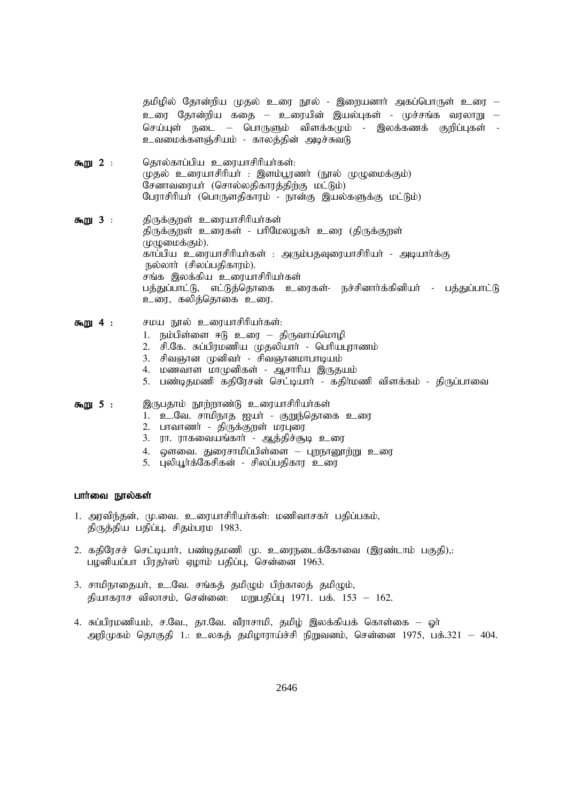தமிழில் தோன்றிய முதல் உரை நூல் - இறையனார் அகப்பொருள் உரை – உரை தோன்றிய கதை – உரையின் இயல்புகள் - முச்சங்க வரலாறு – செய்யுள் நடை – பொருளும் விளக்கமும் - இலக்கணக் குறிப்புகள் உவமைக்களஞ்சியம் - காலத்தின் அடிச்சுவடு

- கூறு 2 : கொல்காப்பிய உரையாசிரியர்கள்: (மதல் உரையாசிரியர் : இளம்பூரணர் (நூல் முமுமைக்கும்)  $G$ சனாவரையா் (சொல்லதிகாரத்திற்கு மட்டும்) பேராசிரியர் (பொருளதிகாரம் - நான்கு இயல்களுக்கு மட்டும்)
- கூறு 3 : திருக்குறள் உரையாசிரியர்கள் திருக்குறள் உரைகள் - பரிமேலழகர் உரை (திருக்குறள்  $(\mu(\mathbb{Q}) \otimes \mathbb{Q} \otimes \mathbb{Q})$ . காப்பிய உரையாசிரியா்கள் : அரும்பதவுரையாசிரியா் - அடியாா்க்கு நல்லாா் (சிலப்பதிகாரம்). .<br>சங்க இலக்கிய உரையாசிரியர்கள் பத்துப்பாட்டு, எட்டுத்தொகை உரைகள்- நச்சினார்க்கினியர் - பத்துப்பாட்டு உரை, கலித்தொகை உரை.
- **கூறு 4 :** சமய நூல் உரையாசிரியர்கள்:
	- 1. நம்பிள்ளை ஈடு உரை திருவாய்மொழி
	- 2. சி.கே. சுப்பிரமணிய முதலியார் பெரியபுராணம்
	- 3. சிவஞான முனிவர் சிவஞானமாபாடியம்
	- 4. மணவாள மாமுனிகள் ஆசாரிய இருதயம்
	- 5. பண்டிதமணி கதிரேசன் செட்டியார் கதிர்மணி விளக்கம் திருப்பாவை

#### **கூறு 5 : இருபதாம் நூற்றாண்டு உரையாசிரியர்கள்**

- 1. உ.வே. சாமிநாத ஐயா் குறுந்தொகை உரை
- 2. பாவாணர் திருக்குறள் மரபுரை
- 3. ரா. ராகவையங்கார் ஆத்திச்சூடி உரை
- 4. ஔவை. துரைசாமிப்பிள்ளை புறநானூற்று உரை
- 5. புலியூர்க்கேசிகன் சிலப்பதிகார உரை

#### பார்வை நூல்கள்

- 1. அரவிந்தன், மு.வை. உரையாசிரியர்கள்: மணிவாசகர் பதிப்பகம், திருத்திய பதிப்பு, சிதம்பரம 1983.
- 2. கதிரேசச் செட்டியார், பண்டிதமணி மு. உரைநடைக்கோவை (இரண்டாம் பகுதி),: பழனியப்பா பிரதா்ஸ் ஏழாம் பதிப்பு, சென்னை 1963.
- 3. சாமிநாதையர், உ.வே. சங்கத் தமிழும் பிற்காலத் தமிழும், தியாகராச விலாசம், சென்னை: மறுபதிப்பு 1971. பக். 153 – 162.
- 4. சுப்பிரமணியம், ச.வே., தா.வே. வீராசாமி, தமிழ் இலக்கியக் கொள்கை ஓா் அறிமுகம் தொகுதி 1.: உலகத் தமிமாராய்ச்சி நிறுவனம், சென்னை 1975, பக்.321 – 404.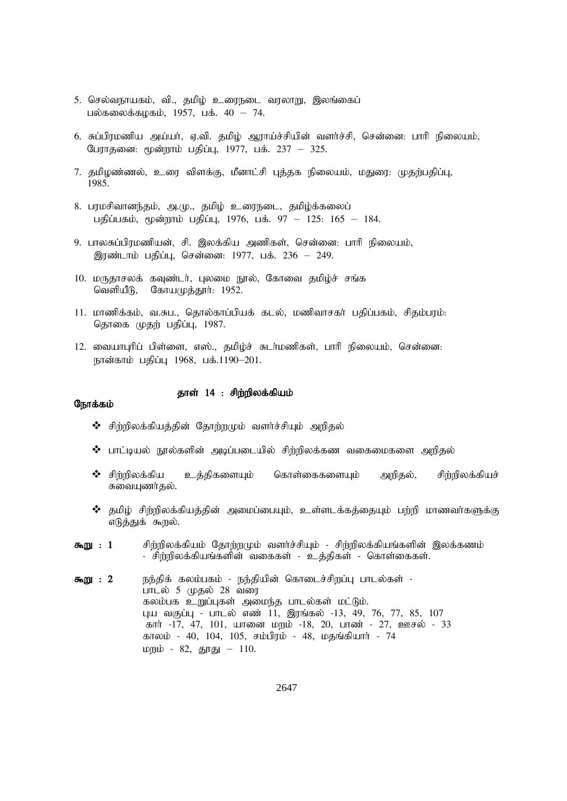- 5. செல்வநாயகம், வி., தமிழ் உரைநடை வரலாறு, இலங்கைப் பல்கலைக்கமகம், 1957, பக்.  $40 - 74$ .
- 6. சுப்பிரமணிய அய்யா், ஏ.வி. தமிழ் ஆராய்ச்சியின் வளா்ச்சி, சென்னை: பாாி நிலையம், பேராதனை: மூன்றாம் பதிப்பு, 1977, பக். 237 – 325.
- 7. தமிழண்ணல், உரை விளக்கு, மீனாட்சி புத்தக நிலையம், மதுரை: முதற்பதிப்பு, 1985.
- 8. பரமசிவானந்தம், அ.மு., தமிழ் உரைநடை, தமிழ்க்கலைப் பதிப்பகம், மூன்றாம் பதிப்பு, 1976, பக். 97 – 125: 165 – 184.
- 9. பாலசுப்பிரமணியன், சி. இலக்கிய அணிகள், சென்னை: பாரி நிலையம், இரண்டாம் பதிப்பு, சென்னை: 1977, பக். 236 – 249.
- 10. மருதாசலக் கவுண்டர், புலமை நூல், கோவை தமிழ்ச் சங்க வெளியீடு, கோயமுத்தூர்:  $1952$ .
- 11. மாணிக்கம், வ.சுப., தொல்காப்பியக் கடல், மணிவாசகர் பதிப்பகம், சிதம்பரம்: தொகை முதற் பதிப்பு, 1987.
- 12. வையாபுரிப் பிள்ளை, எஸ்., தமிழ்ச் சுடர்மணிகள், பாரி நிலையம், சென்னை: நான்காம் பதிப்பு 1968, பக்.1190–201.

#### தாள் 14 : சிற்றிலக்கியம்

- $\mathbf{\hat{P}}$  சிற்றிலக்கியத்தின் தோற்றமும் வளர்ச்சியும் அறிதல்
- $\boldsymbol{\hat{B}}$  பாட்டியல் நூல்களின் அடிப்படையில் சிற்றிலக்கண வகைமைகளை அறிதல்
- $\bm{\hat{P}}$  சிற்றிலக்கிய உத்திகளையும் கொள்கைகளையும் அறிதல், சிற்றிலக்கியச் சுவையுணர்குல்.
- $\boldsymbol{\hat{\cdot}}$  தமிழ் சிற்றிலக்கியத்தின் அமைப்பையும், உள்ளடக்கத்தையும் பற்றி மாணவா்களுக்கு எடுத்துக் கூறல்.
- கூறு : 1 சிற்றிலக்கியம் தோற்றமும் வளர்ச்சியும் சிற்றிலக்கியங்களின் இலக்கணம் - சிற்றிலக்கியங்களின் வகைகள் - உத்திகள் - கொள்கைகள்.
- **கூறு : 2** நந்திக் கலம்பகம் நந்தியின் கொடைச்சிறப்பு பாடல்கள் -பாடல் 5 முதல்  $28$  வரை கலம்பக உறுப்புகள் அமைந்த பாடல்கள் மட்டும். புய வகுப்பு - பாடல் எண் 11, இரங்கல் -13, 49, 76, 77, 85, 107 கார் -17, 47, 101, யானை மறம் -18, 20, பாண் - 27, ஊசல் - 33 காலம் - 40, 104, 105, சம்பிரம் - 48, மதங்கியார் - 74 மறம் - 82, தூது – 110.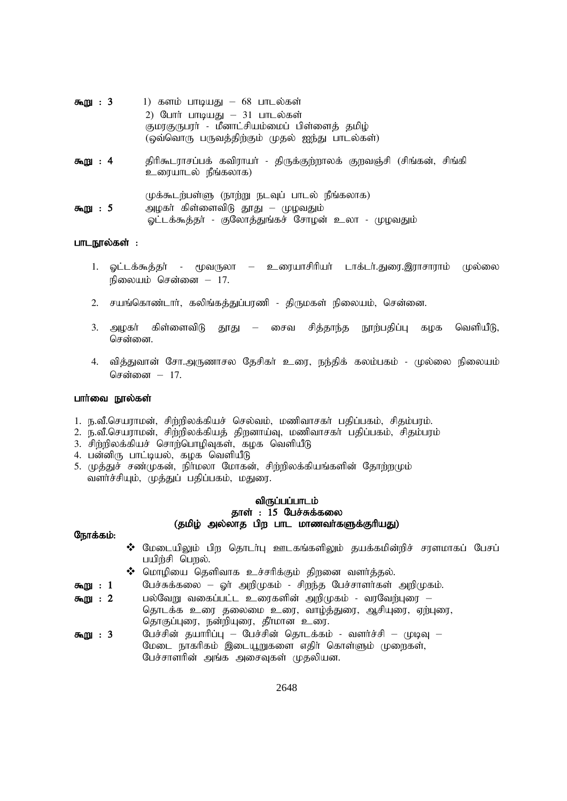| கூறு: 3 | 1) களம் பாடியது – 68 பாடல்கள்<br>2) போர் பாடியது – 31 பாடல்கள்<br>குமரகுருபரா் - மீனாட்சியம்மைப் பிள்ளைத் தமிழ்<br>(ஒவ்வொரு பருவத்திற்கும் முதல் ஐந்து பாடல்கள்) |
|---------|------------------------------------------------------------------------------------------------------------------------------------------------------------------|
| கூறு: 4 | திரிகூடராசப்பக் கவிராயா் - திருக்குற்றாலக் குறவஞ்சி (சிங்கன், சிங்கி<br>உரையாடல் நீங்கலாக)                                                                       |
| கூறு: 5 | முக்கூடற்பள்ளு (நாற்று நடவுப் பாடல் நீங்கலாக)<br>அழகா் கிள்ளைவிடு தூது — முழவதும்<br>ஓட்டக்கூத்தர் - குலோத்துங்கச் சோழன் உலா - முழவதும்                          |

#### பாடநூல்கள் :

- 1. ஓட்டக்கூத்தா் மூவருலா உரையாசிரியா் டாக்டா்.துரை.இராசாராம் முல்லை நிலையம் சென்னை  $-17$ .
- 2. சயங்கொண்டார், கலிங்கத்துப்பரணி திருமகள் நிலையம், சென்னை.
- 3. அழகா் கிள்ளைவிடு தூது சைவ சித்தாந்த நூற்பதிப்பு கழக வெளியீடு, சென்னை.
- 4. வித்துவான் சோ.அருணாசல தேசிகர் உரை, நந்திக் கலம்பகம் முல்லை நிலையம் சென்னை - 17.

#### பார்வை நூல்கள்

- 1. ந.வீ.செயராமன், சிற்றிலக்கியச் செல்வம், மணிவாசகர் பதிப்பகம், சிதம்பரம்.
- 2. ந.வீ.செயராமன், சிற்றிலக்கியத் திறனாய்வு, மணிவாசகா் பதிப்பகம், சிதம்பரம்
- 3. சிற்றிலக்கியச் சொற்பொழிவுகள், கழக வெளியீடு
- 4. பன்னிரு பாட்டியல், கழக வெளியீடு
- 5. முத்துச் சண்முகன், நிர்மலா மோகன், சிற்றிலக்கியங்களின் தோற்றமும் வளர்ச்சியும், முத்துப் பதிப்பகம், மதுரை.

பேச்சாளரின் அங்க அசைவுகள் முதலியன.

# விருப்பப்பாடம் தாள் :  $15$  பேச்சுக்கலை (தமிழ் அல்லாத பிற பாட மாணவர்களுக்குரியது)

|         |  | $\bm{\hat{\cdot}}$ மேடையிலும் பிற தொடர்பு ஊடகங்களிலும் தயக்கமின்றிச் சரளமாகப் பேசப் |
|---------|--|-------------------------------------------------------------------------------------|
|         |  | பயிர்சி பெறல்.                                                                      |
|         |  | $\clubsuit$ மொழியை தெளிவாக உச்சரிக்கும் திறனை வளர்த்தல்.                            |
| கூறு: 1 |  | பேச்சுக்கலை – ஓர் அறிமுகம் - சிறந்த பேச்சாளர்கள் அறிமுகம்.                          |
| கூறு: 2 |  | பல்வேறு வகைப்பட்ட உரைகளின் அறிமுகம் - வரவேற்புரை —                                  |
|         |  | தொடக்க உரை தலைமை உரை, வாழ்த்துரை, ஆசியுரை, ஏற்புரை,                                 |
|         |  | தொகுப்புரை, நன்றியுரை, தீர்மான உரை.                                                 |
| கூறு:3  |  | பேச்சின் தயாரிப்பு — பேச்சின் தொடக்கம் - வளர்ச்சி — முடிவு —                        |
|         |  | மேடை நாகரிகம் இடையூறுகளை எதிர் கொள்ளும் முறைகள்,                                    |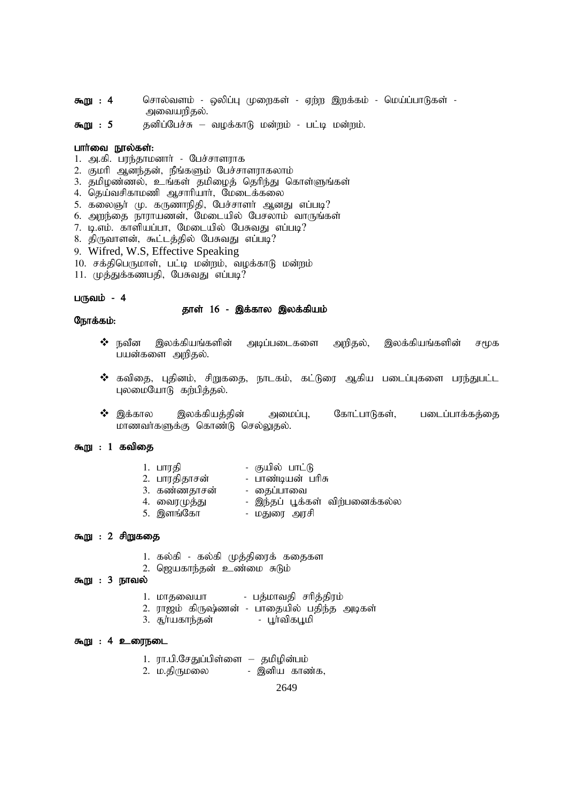- $\delta \mathbf{m}$  $\mathbf{m}$  : 4 சொல்வளம் - ஒலிப்பு முறைகள் - ஏற்ற இறக்கம் - மெய்ப்பாடுகள் -அவையறிதல்.
- தனிப்பேச்சு வழக்காடு மன்றம் பட்டி மன்றம். கூறு: 5

#### பார்வை நூல்கள்:

- 1. அ.கி. பரந்தாமனார் பேச்சாளராக
- 2. குமரி ஆனந்தன், நீங்களும் பேச்சாளராகலாம்
- 3. தமிழண்ணல், உங்கள் தமிழைத் தெரிந்து கொள்ளுங்கள்
- 4. தெய்வசிகாமணி ஆசாரியார், மேடைக்கலை
- 5. கலைஞர் மு. கருணாநிதி, பேச்சாளர் ஆனது எப்படி?
- 6. அறந்தை நாராயணன், மேடையில் பேசலாம் வாருங்கள்
- 7. டி.எம். காளியப்பா, மேடையில் பேசுவது எப்படி?
- 8. திருவாளன், கூட்டத்தில் பேசுவது எப்படி?
- 9. Wifred, W.S. Effective Speaking
- 10. சக்திபெருமாள், பட்டி மன்றம், வழக்காடு மன்றம்
- 11. முத்துக்கணபதி, பேசுவது எப்படி?

#### பருவம் - 4

#### தாள் 16 - இக்கால இலக்கியம்

#### நோக்கம்:

- $\boldsymbol{\cdot}$  நவீன இலக்கியங்களின் அடிப்படைகளை அறிதல், இலக்கியங்களின் சமூக பயன்களை அறிதல்.
- ❖ கவிதை, புதினம், சிறுகதை, நாடகம், கட்டுரை ஆகிய படைப்புகளை பரந்துபட்ட புலமையோடு கற்பித்தல்.
- $\clubsuit$  இக்கால இலக்கியத்தின் அமைப்பு, கோட்பாடுகள், படைப்பாக்கத்தை மாணவர்களுக்கு கொண்டு செல்லுதல்.

# கூறு : 1 கவிதை

| 1. பாரதி      | - குயில் பாட்டு                |
|---------------|--------------------------------|
| 2. பாரதிதாசன் | - பாண்டியன் பரிசு              |
| 3. கண்ணதாசன்  | - தைப்பாவை                     |
| 4. வைரமுத்து  | - இந்தப் பூக்கள் விற்பனைக்கல்ல |
| 5. இளங்கோ     | - மதுரை அரசி                   |

#### கூறு : 2 சிறுகதை

- 1. கல்கி கல்கி முத்திரைக் கதைகள
- 2. ஜெயகாந்தன் உண்மை சுடும்

# கூறு : 3 நாவல்

- பத்மாவதி சரித்திரம் 1. மாதவையா
- 2. ராஜம் கிருஷ்ணன் பாதையில் பதிந்த அடிகள்
- 3. சூர்யகாந்தன் - பூர்விகபூமி

#### கூறு : 4 உரைநடை

- 1. ரா.பி.சேதுப்பிள்ளை தமிழின்பம்
- 2. ம.திருமலை - இனிய காண்க,

2649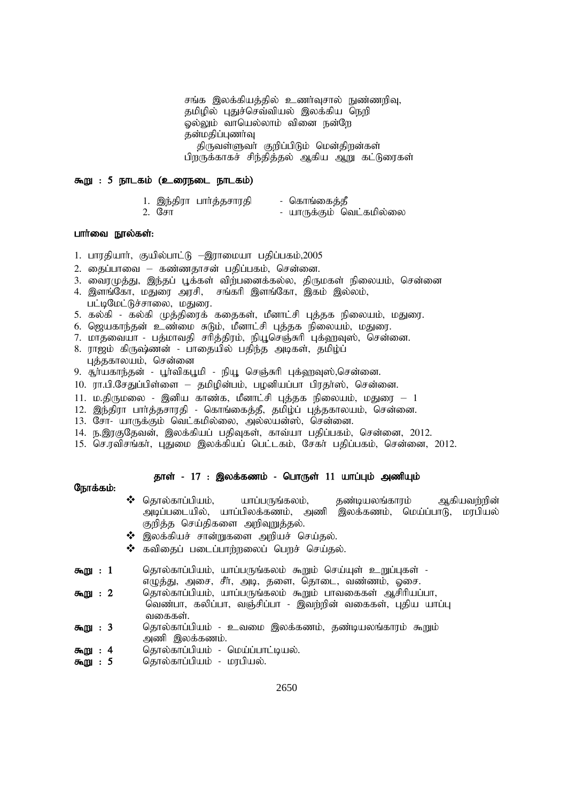சங்க இலக்கியத்தில் உணர்வுசால் நுண்ணரிவு, தமிழில் புதுச்செவ்வியல் இலக்கிய நெறி லல்லும் வாயெல்லாம் வினை நன்றே கன்மகிப்புணர்வு திருவள்ளுவா் குறிப்பிடும் மென்திறன்கள் பிறருக்காகச் சிந்தித்தல் ஆகிய ஆறு கட்டுரைகள்

#### $\delta$ று : 5 நாடகம் (உரைநடை நாடகம்)

- 1. ,e;jpuh ghh;j ;jrhujp nfhq;ifj;jP - யாருக்கும் வெட்கமில்லை
- 

### பார்வை நூல்கள்:

- 1. பாரதியார், குயில்பாட்டு –இராமையா பதிப்பகம், $2005$
- $2.$  தைப்பாவை கண்ணதாசன் பதிப்பகம், சென்னை.
- 3. வைரமுத்து, இந்தப் பூக்கள் விற்பனைக்கல்ல, திருமகள் நிலையம், சென்னை
- 4. இளங்கோ, மதுரை அரசி, சங்கரி இளங்கோ, இகம் இல்லம், பட்டிமேட்டுச்சாலை, மதுரை.
- 5. கல்கி கல்கி முத்திரைக் கதைகள், மீனாட்சி புத்தக நிலையம், மதுரை.
- 6. ஜெயகாந்தன் உண்மை சுடும், மீனாட்சி புத்தக நிலையம், மதுரை.
- 7. மாதவையா பத்மாவதி சரித்திரம், நியூசெஞ்சுரி புக்ஹவுஸ், சென்னை.
- 8. ராஜம் கிருஷ்ணன் பாதையில் பதிந்த அடிகள், தமிழ்ப் பக்ககாலயம். சென்னை
- 9. சூர்யகாந்தன் பூர்விகபூமி நியூ செஞ்சுரி புக்ஹவுஸ்,சென்னை.
- $10.$  ரா.பி.சேதுப்பிள்ளை தமிழின்பம், பழனியப்பா பிரதா்ஸ், சென்னை.
- 11. ம.திருமலை இனிய காண்க, மீனாட்சி புத்தக நிலையம், மதுரை 1
- 12. இந்திரா பார்த்தசாரதி கொங்கைத்தீ, தமிழ்ப் புத்தகாலயம், சென்னை.
- 13. சோ- யாருக்கும் வெட்கமில்லை, அல்லயன்ஸ், சென்னை.
- 14. ந.இரகுதேவன், இலக்கியப் பதிவுகள், காவ்யா பதிப்பகம், சென்னை, 2012.
- 15. செ.ரவிசங்கர், புதுமை இலக்கியப் பெட்டகம், சேகர் பதிப்பகம், சென்னை, 2012.

## தாள் - 17 : இலக்கணம் - பொருள் 11 யாப்பும் அணியும்

- $\clubsuit$  தொல்காப்பியம், யாப்பருங்கலம், தண்டியலங்காரம் ஆகியவற்றின் அடிப்படையில், யாப்பிலக்கணம், அணி இலக்கணம், மெய்ப்பாடு, மரபியல் குறித்த செய்திகளை அறிவுறுத்தல்.
- $\clubsuit$  இலக்கியச் சான்றுகளை அறியச் செய்தல்.
- $\clubsuit$  கவிகைப் படைப்பாற்றலைப் பெறச் செய்தல்.
- **கூறு : 1** தொல்காப்பியம், யாப்பருங்கலம் கூறும் செய்யுள் உறுப்புகள் -எழுத்து, அசை, சீர், அடி, தளை, தொடை, வண்ணம், ஓசை.
- **கூறு : 2** தொல்காப்பியம், யாப்பருங்கலம் கூறும் பாவகைகள் ஆசிரியப்பா, வெண்பா, கலிப்பா, வஞ்சிப்பா - இவற்றின் வகைகள், புதிய யாப்பு வகைகள்.
- **கூறு : 3** தொல்காப்பியம் உவமை இலக்கணம், தண்டியலங்காரம் கூறும் அணி இலக்கணம்.
- **கூறு : 4** தொல்காப்பியம் மெய்ப்பாட்டியல்.<br>**கூறு : 5** தொல்காப்பியம் மரபியல்.
- தொல்காப்பியம் மரபியல்.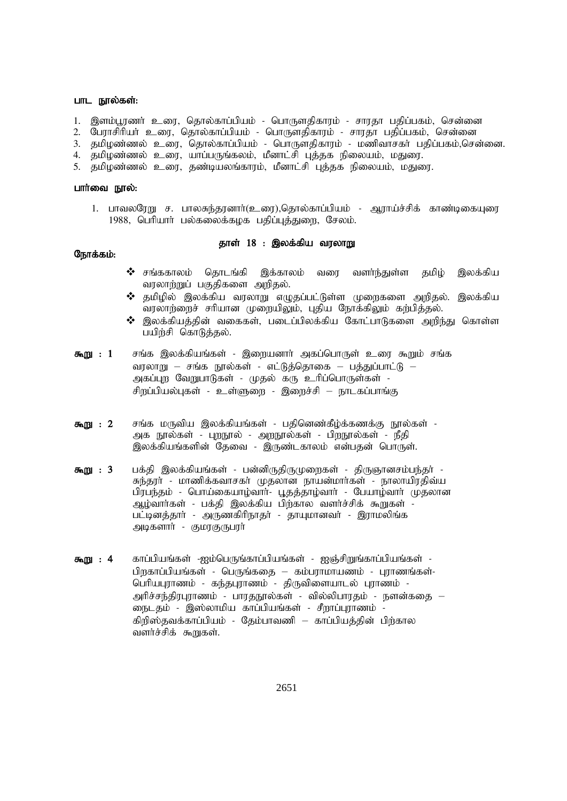#### பாட நூல்கள்:

- 1. இளம்பூரணர் உரை, தொல்காப்பியம் பொருளகிகாரம் சாரதா பகிப்பகம், சென்னை
- 2. பேராசிரியர் உரை, தொல்காப்பியம் பொருளதிகாரம் சாரதா பதிப்பகம், சென்னை
- 3. தமிழண்ணல் உரை, தொல்காப்பியம் பொருளதிகாரம் மணிவாசகா் பதிப்பகம்,சென்னை.<br>4. தமிழண்ணல் உரை பாப்பருங்கலம் மீனாட்சி பக்கத நிலையம் மதுரை
- 4. தமிழண்ணல் உரை, யாப்பருங்கலம், மீனாட்சி புத்தக நிலையம், மதுரை.<br>5. கமிமண்ணல் உரை, கண்டியலங்காாம். மீனாட்சி பக்கக நிலையம். மகுன
- தமிழண்ணல் உரை, தண்டியலங்காரம், மீனாட்சி புத்தக நிலையம், மதுரை.

#### பார்வை நூல்:

1. பாவலரேறு ச. பாலசுந்தரனாா்(உரை),தொல்காப்பியம் - ஆராய்ச்சிக் காண்டிகையுரை 1988, பெரியார் பல்கலைக்கழக பதிப்புத்துறை, சேலம்.

#### தாள் 18 : இலக்கிய வரலாறு

- $\bm{\hat{B}}$  சங்ககாலம் தொடங்கி இக்காலம் வரை வளா்ந்துள்ள தமிழ் இலக்கிய வரலாற்றுப் பகுதிகளை அறிதல்.
- $\boldsymbol{\hat{X}}$  தமிழில் இலக்கிய வரலாறு எழுதப்பட்டுள்ள முறைகளை அறிதல். இலக்கிய வரலாற்றைச் சரியான முறையிலும், புதிய நோக்கிலும் கற்பித்தல்.
- $\boldsymbol{\hat{3}}$  இலக்கியத்தின் வகைகள், படைப்பிலக்கிய கோட்பாடுகளை அறிந்து கொள்ள பயிற்சி கொடுத்தல்.
- **கூறு : 1** சங்க இலக்கியங்கள் இறையனார் அகப்பொருள் உரை கூறும் சங்க வரலாறு – சங்க நூல்கள் - எட்டுத்தொகை – பத்துப்பாட்டு – அகப்புற வேறுபாடுகள் - முதல் கரு உரிப்பொருள்கள் -சிறப்பியல்புகள் - உள்ளுறை - இறைச்சி – நாடகப்பாங்கு
- **கூறு : 2** சங்க மருவிய இலக்கியங்கள் பதினெண்கீழ்க்கணக்கு நூல்கள் -அக நூல்கள் - புறநூல் - அறநூல்கள் - பிறநூல்கள் - நீதி இலக்கியங்களின் தேவை - இருண்டகாலம் என்பதன் பொருள்.
- **கூறு : 3** பக்தி இலக்கியங்கள் பன்னிருதிருமுறைகள் திருஞானசம்பந்தா் -சுந்தரா் - மாணிக்கவாசகா் முதலான நாயன்மாா்கள் - நாலாயிரதிவ்ய பிரபந்தம் - பொய்கையாழ்வார்- பூதத்தாழ்வார் - பேயாழ்வார் முதலான ஆழ்வாா்கள் - பக்தி இலக்கிய பிற்கால வளா்ச்சிக் கூறுகள் -பட்டினத்தாா் - அருணகிாிநாதா் - தாயுமானவா் - இராமலிங்க அடிகளார் - குமரகுருபரர்
- **கூறு : 4** காப்பியங்கள் -ஐம்பெருங்காப்பியங்கள் ஐஞ்சிறுங்காப்பியங்கள் -பிறகாப்பியங்கள் - பெருங்கதை – கம்பராமாயணம் - புராணங்கள்-பெரியபுராணம் - கந்தபுராணம் - திருவிளையாடல் புராணம் -அரிச்சந்திரபுராணம் - பாரதநூல்கள் - வில்லிபாரதம் - நளன்கதை — நைடதம் - இஸ்லாமிய காப்பியங்கள் - சீறாப்புராணம் -கிறிஸ்தவக்காப்பியம் - தேம்பாவணி – காப்பியத்தின் பிற்கால வளர்ச்சிக் கூறுகள்.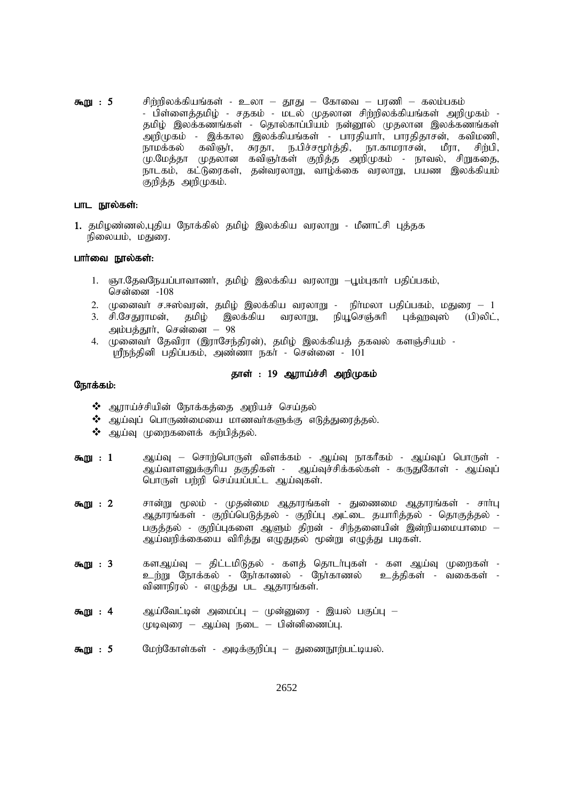$\delta m$   $\Omega$  : 5 சிற்றிலக்கியங்கள் - உலா – தூது – கோவை – பரணி – கலம்பகம் - பிள்ளைத்தமிழ் - சதகம் - மடல் முதலான சிற்றிலக்கியங்கள் அறிமுகம் -தமிழ் இலக்கணங்கள் - தொல்காப்பியம் நன்னூல் முதலான இலக்கணங்கள் .<br>அறிமுகம் - இக்கால இலக்கியங்கள் - பாாகியாா். பாாகிகாசன், கவிமணி, நாமக்கல் கவிஞர். சுரதா, ந.பிச்சமூர்த்தி, நா.காமராசன், மீரா, சிங்1ி. மு.மேத்தா முதலான கவிஞர்கள் குறித்த அறிமுகம் - நாவல், சிறுகதை, நாடகம், கட்டுரைகள், தன்வரலாறு, வாழ்க்கை வரலாறு, பயண இலக்கியம் குறித்த அறிமுகம்.

#### பாட நால்கள்:

1. தமிழண்ணல்,புதிய நோக்கில் தமிழ் இலக்கிய வரலாறு - மீனாட்சி புத்தக நிலையம், மதுரை.

## பார்வை நால்கள்:

- 1. ஞா.தேவநேயப்பாவாணர், தமிழ் இலக்கிய வரலாறு —பூம்புகார் பதிப்பகம், சென்னை -108
- 2. முனைவா் ச.ஈஸ்வரன், தமிழ் இலக்கிய வரலாறு நிா்மலா பதிப்பகம், மதுரை 1
- 3. சி.சேதுராமன், தமிழ் இலக்கிய வரலாறு, நியூசெஞ்சுரி புக்ஹவுஸ் (பி)லிட், அம்பத்தூர், சென்னை – 98
- 4. முனைவர் தேவிரா (இராசேந்திரன்), தமிழ் இலக்கியத் தகவல் களஞ்சியம் -ஸ்ரீநந்தினி பதிப்பகம், அண்ணா நகர் - சென்னை - 101

# தாள் : 19 ஆராய்ச்சி அறிமுகம்

- ❖ ஆராய்ச்சியின் நோக்கத்தை அறியச் செய்தல்
- $\boldsymbol{\cdot}$ ் ஆய்வுப் பொருண்மையை மாணவர்களுக்கு எடுத்துரைத்தல்.
- $\clubsuit$  ஆய்வு முறைகளைக் கற்பித்தல்.
- ஆய்வு சொற்பொருள் விளக்கம் ஆய்வு நாகரீகம் ஆய்வுப் பொருள் -கூறு:  $1$ ஆய்வாளனுக்குரிய தகுதிகள் - ஆய்வுச்சிக்கல்கள் - கருதுகோள் - ஆய்வுப் பொருள் பற்றி செய்யப்பட்ட ஆய்வுகள்.
- சான்று மூலம் முதன்மை ஆதாரங்கள் துணைமை ஆதாரங்கள் சாா்பு  $\delta \ln m$  : 2 ஆதாரங்கள் - குறிப்பெடுத்தல் - குறிப்பு அட்டை தயாரித்தல் - தொகுத்தல் -பகுத்தல் - குறிப்புகளை ஆளும் திறன் - சிந்தனையின் இன்றியமையாமை — ஆய்வறிக்கையை விரித்து எழுதுதல் மூன்று எழுத்து படிகள்.
- $\delta m$  $\Omega$  : 3 களஆய்வு – திட்டமிடுதல் - களத் தொடர்புகள் - கள ஆய்வு முறைகள் -உற்று நோக்கல் - நேர்காணல் - நேர்காணல் உத்திகள் - வகைகள் -வினாநிரல் - எழுத்து பட ஆதாரங்கள்.
- ஆய்வேட்டின் அமைப்பு முன்னுரை இயல் பகுப்பு  $550$   $\ldots$  4  $($ ழடிவுரை – ஆய்வு நடை – பின்னிணைப்பு.
- $\delta \mathbf{m}$  $\mathbf{m}$  : 5 மேற்கோள்கள் - அடிக்குறிப்பு — துணைநூற்பட்டியல்.